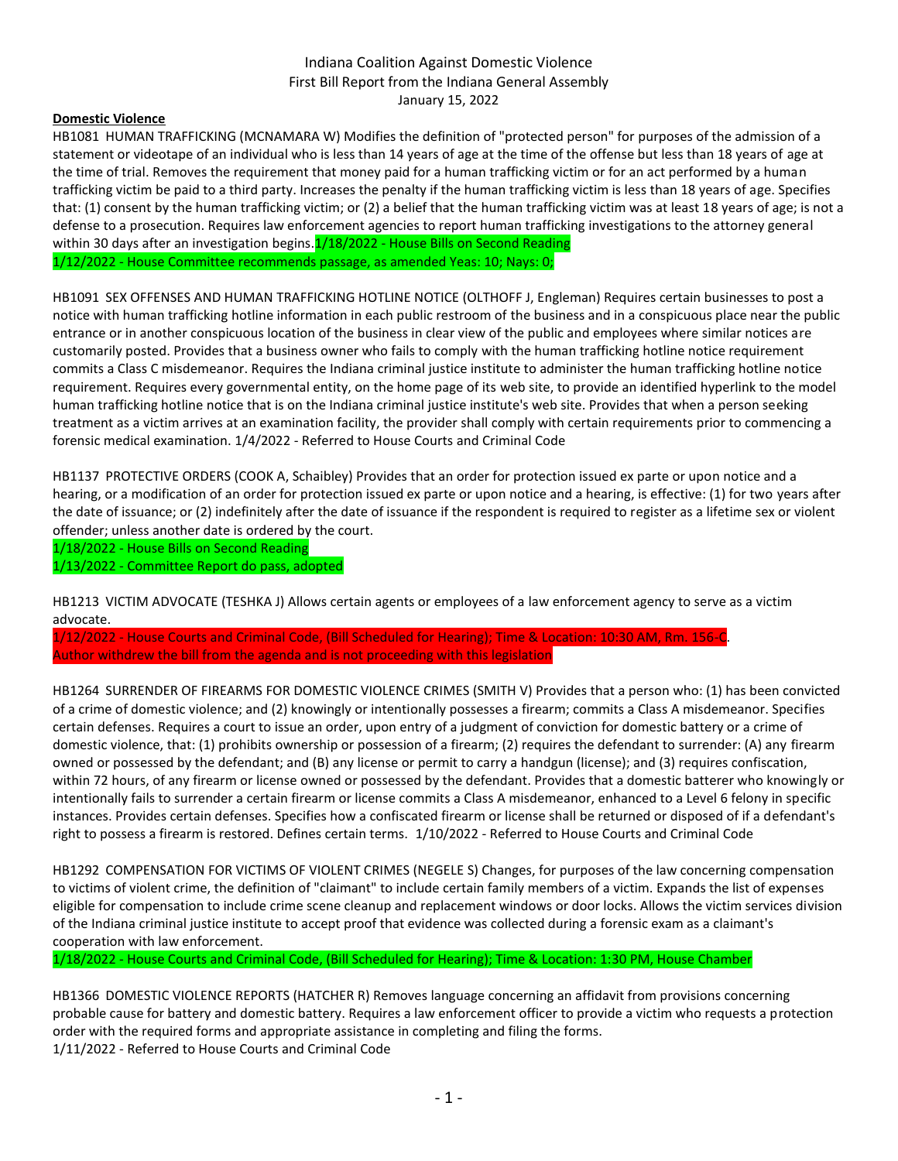# Indiana Coalition Against Domestic Violence First Bill Report from the Indiana General Assembly January 15, 2022

# **Domestic Violence**

HB1081 HUMAN TRAFFICKING (MCNAMARA W) Modifies the definition of "protected person" for purposes of the admission of a statement or videotape of an individual who is less than 14 years of age at the time of the offense but less than 18 years of age at the time of trial. Removes the requirement that money paid for a human trafficking victim or for an act performed by a human trafficking victim be paid to a third party. Increases the penalty if the human trafficking victim is less than 18 years of age. Specifies that: (1) consent by the human trafficking victim; or (2) a belief that the human trafficking victim was at least 18 years of age; is not a defense to a prosecution. Requires law enforcement agencies to report human trafficking investigations to the attorney general within 30 days after an investigation begins.<sup>1</sup>/18/2022 - House Bills on Second Reading 1/12/2022 - House Committee recommends passage, as amended Yeas: 10; Nays: 0;

HB1091 SEX OFFENSES AND HUMAN TRAFFICKING HOTLINE NOTICE (OLTHOFF J, Engleman) Requires certain businesses to post a notice with human trafficking hotline information in each public restroom of the business and in a conspicuous place near the public entrance or in another conspicuous location of the business in clear view of the public and employees where similar notices are customarily posted. Provides that a business owner who fails to comply with the human trafficking hotline notice requirement commits a Class C misdemeanor. Requires the Indiana criminal justice institute to administer the human trafficking hotline notice requirement. Requires every governmental entity, on the home page of its web site, to provide an identified hyperlink to the model human trafficking hotline notice that is on the Indiana criminal justice institute's web site. Provides that when a person seeking treatment as a victim arrives at an examination facility, the provider shall comply with certain requirements prior to commencing a forensic medical examination. 1/4/2022 - Referred to House Courts and Criminal Code

HB1137 PROTECTIVE ORDERS (COOK A, Schaibley) Provides that an order for protection issued ex parte or upon notice and a hearing, or a modification of an order for protection issued ex parte or upon notice and a hearing, is effective: (1) for two years after the date of issuance; or (2) indefinitely after the date of issuance if the respondent is required to register as a lifetime sex or violent offender; unless another date is ordered by the court.

1/18/2022 - House Bills on Second Reading 1/13/2022 - Committee Report do pass, adopted

HB1213 VICTIM ADVOCATE (TESHKA J) Allows certain agents or employees of a law enforcement agency to serve as a victim advocate.

1/12/2022 - House Courts and Criminal Code, (Bill Scheduled for Hearing); Time & Location: 10:30 AM, Rm. 156-C. Author withdrew the bill from the agenda and is not proceeding with this legislation

HB1264 SURRENDER OF FIREARMS FOR DOMESTIC VIOLENCE CRIMES (SMITH V) Provides that a person who: (1) has been convicted of a crime of domestic violence; and (2) knowingly or intentionally possesses a firearm; commits a Class A misdemeanor. Specifies certain defenses. Requires a court to issue an order, upon entry of a judgment of conviction for domestic battery or a crime of domestic violence, that: (1) prohibits ownership or possession of a firearm; (2) requires the defendant to surrender: (A) any firearm owned or possessed by the defendant; and (B) any license or permit to carry a handgun (license); and (3) requires confiscation, within 72 hours, of any firearm or license owned or possessed by the defendant. Provides that a domestic batterer who knowingly or intentionally fails to surrender a certain firearm or license commits a Class A misdemeanor, enhanced to a Level 6 felony in specific instances. Provides certain defenses. Specifies how a confiscated firearm or license shall be returned or disposed of if a defendant's right to possess a firearm is restored. Defines certain terms. 1/10/2022 - Referred to House Courts and Criminal Code

HB1292 COMPENSATION FOR VICTIMS OF VIOLENT CRIMES (NEGELE S) Changes, for purposes of the law concerning compensation to victims of violent crime, the definition of "claimant" to include certain family members of a victim. Expands the list of expenses eligible for compensation to include crime scene cleanup and replacement windows or door locks. Allows the victim services division of the Indiana criminal justice institute to accept proof that evidence was collected during a forensic exam as a claimant's cooperation with law enforcement.

1/18/2022 - House Courts and Criminal Code, (Bill Scheduled for Hearing); Time & Location: 1:30 PM, House Chamber

HB1366 DOMESTIC VIOLENCE REPORTS (HATCHER R) Removes language concerning an affidavit from provisions concerning probable cause for battery and domestic battery. Requires a law enforcement officer to provide a victim who requests a protection order with the required forms and appropriate assistance in completing and filing the forms. 1/11/2022 - Referred to House Courts and Criminal Code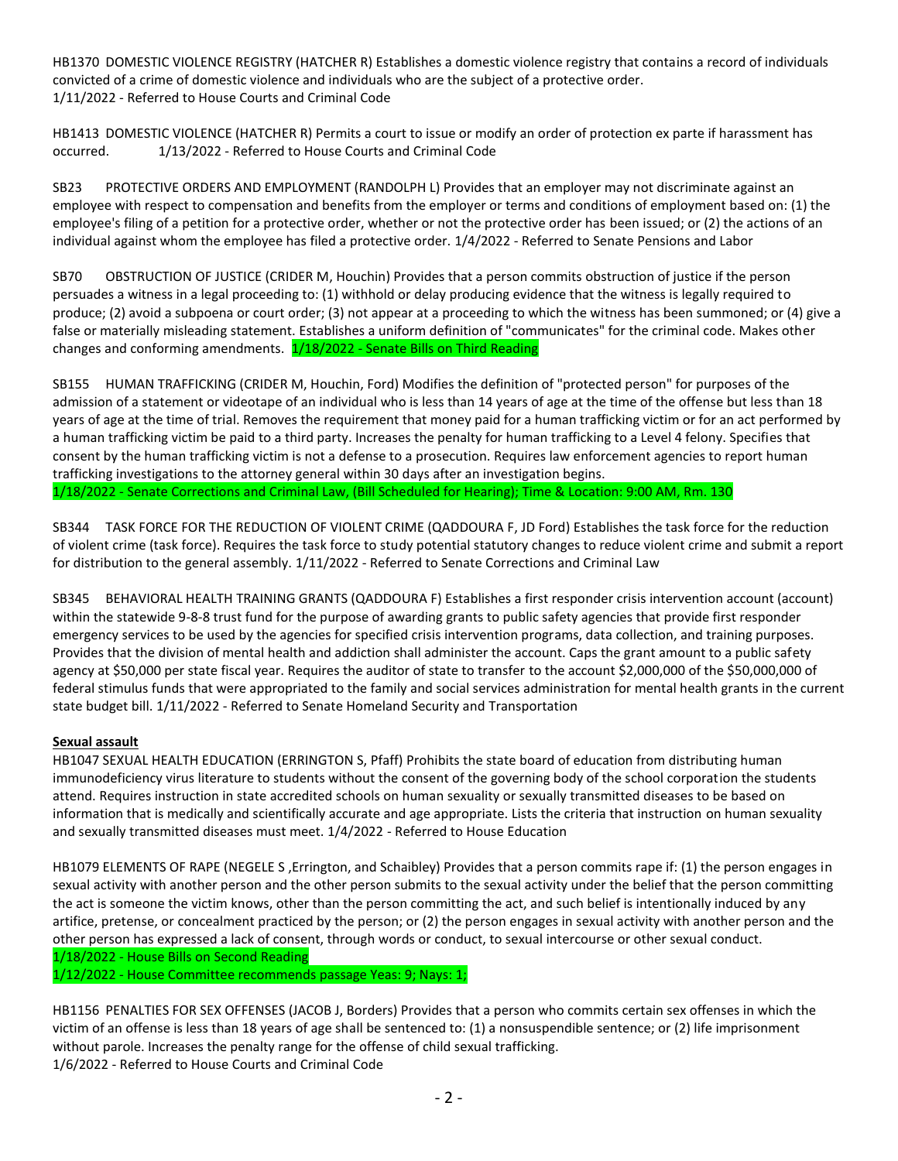HB1370 DOMESTIC VIOLENCE REGISTRY (HATCHER R) Establishes a domestic violence registry that contains a record of individuals convicted of a crime of domestic violence and individuals who are the subject of a protective order. 1/11/2022 - Referred to House Courts and Criminal Code

HB1413 DOMESTIC VIOLENCE (HATCHER R) Permits a court to issue or modify an order of protection ex parte if harassment has occurred. 1/13/2022 - Referred to House Courts and Criminal Code

SB23 PROTECTIVE ORDERS AND EMPLOYMENT (RANDOLPH L) Provides that an employer may not discriminate against an employee with respect to compensation and benefits from the employer or terms and conditions of employment based on: (1) the employee's filing of a petition for a protective order, whether or not the protective order has been issued; or (2) the actions of an individual against whom the employee has filed a protective order. 1/4/2022 - Referred to Senate Pensions and Labor

SB70 OBSTRUCTION OF JUSTICE (CRIDER M, Houchin) Provides that a person commits obstruction of justice if the person persuades a witness in a legal proceeding to: (1) withhold or delay producing evidence that the witness is legally required to produce; (2) avoid a subpoena or court order; (3) not appear at a proceeding to which the witness has been summoned; or (4) give a false or materially misleading statement. Establishes a uniform definition of "communicates" for the criminal code. Makes other changes and conforming amendments. 1/18/2022 - Senate Bills on Third Reading

SB155 HUMAN TRAFFICKING (CRIDER M, Houchin, Ford) Modifies the definition of "protected person" for purposes of the admission of a statement or videotape of an individual who is less than 14 years of age at the time of the offense but less than 18 years of age at the time of trial. Removes the requirement that money paid for a human trafficking victim or for an act performed by a human trafficking victim be paid to a third party. Increases the penalty for human trafficking to a Level 4 felony. Specifies that consent by the human trafficking victim is not a defense to a prosecution. Requires law enforcement agencies to report human trafficking investigations to the attorney general within 30 days after an investigation begins. 1/18/2022 - Senate Corrections and Criminal Law, (Bill Scheduled for Hearing); Time & Location: 9:00 AM, Rm. 130

SB344 TASK FORCE FOR THE REDUCTION OF VIOLENT CRIME (QADDOURA F, JD Ford) Establishes the task force for the reduction of violent crime (task force). Requires the task force to study potential statutory changes to reduce violent crime and submit a report for distribution to the general assembly. 1/11/2022 - Referred to Senate Corrections and Criminal Law

SB345 BEHAVIORAL HEALTH TRAINING GRANTS (QADDOURA F) Establishes a first responder crisis intervention account (account) within the statewide 9-8-8 trust fund for the purpose of awarding grants to public safety agencies that provide first responder emergency services to be used by the agencies for specified crisis intervention programs, data collection, and training purposes. Provides that the division of mental health and addiction shall administer the account. Caps the grant amount to a public safety agency at \$50,000 per state fiscal year. Requires the auditor of state to transfer to the account \$2,000,000 of the \$50,000,000 of federal stimulus funds that were appropriated to the family and social services administration for mental health grants in the current state budget bill. 1/11/2022 - Referred to Senate Homeland Security and Transportation

# **Sexual assault**

HB1047 SEXUAL HEALTH EDUCATION (ERRINGTON S, Pfaff) Prohibits the state board of education from distributing human immunodeficiency virus literature to students without the consent of the governing body of the school corporation the students attend. Requires instruction in state accredited schools on human sexuality or sexually transmitted diseases to be based on information that is medically and scientifically accurate and age appropriate. Lists the criteria that instruction on human sexuality and sexually transmitted diseases must meet. 1/4/2022 - Referred to House Education

HB1079 ELEMENTS OF RAPE (NEGELE S ,Errington, and Schaibley) Provides that a person commits rape if: (1) the person engages in sexual activity with another person and the other person submits to the sexual activity under the belief that the person committing the act is someone the victim knows, other than the person committing the act, and such belief is intentionally induced by any artifice, pretense, or concealment practiced by the person; or (2) the person engages in sexual activity with another person and the other person has expressed a lack of consent, through words or conduct, to sexual intercourse or other sexual conduct. 1/18/2022 - House Bills on Second Reading

1/12/2022 - House Committee recommends passage Yeas: 9; Nays: 1;

HB1156 PENALTIES FOR SEX OFFENSES (JACOB J, Borders) Provides that a person who commits certain sex offenses in which the victim of an offense is less than 18 years of age shall be sentenced to: (1) a nonsuspendible sentence; or (2) life imprisonment without parole. Increases the penalty range for the offense of child sexual trafficking. 1/6/2022 - Referred to House Courts and Criminal Code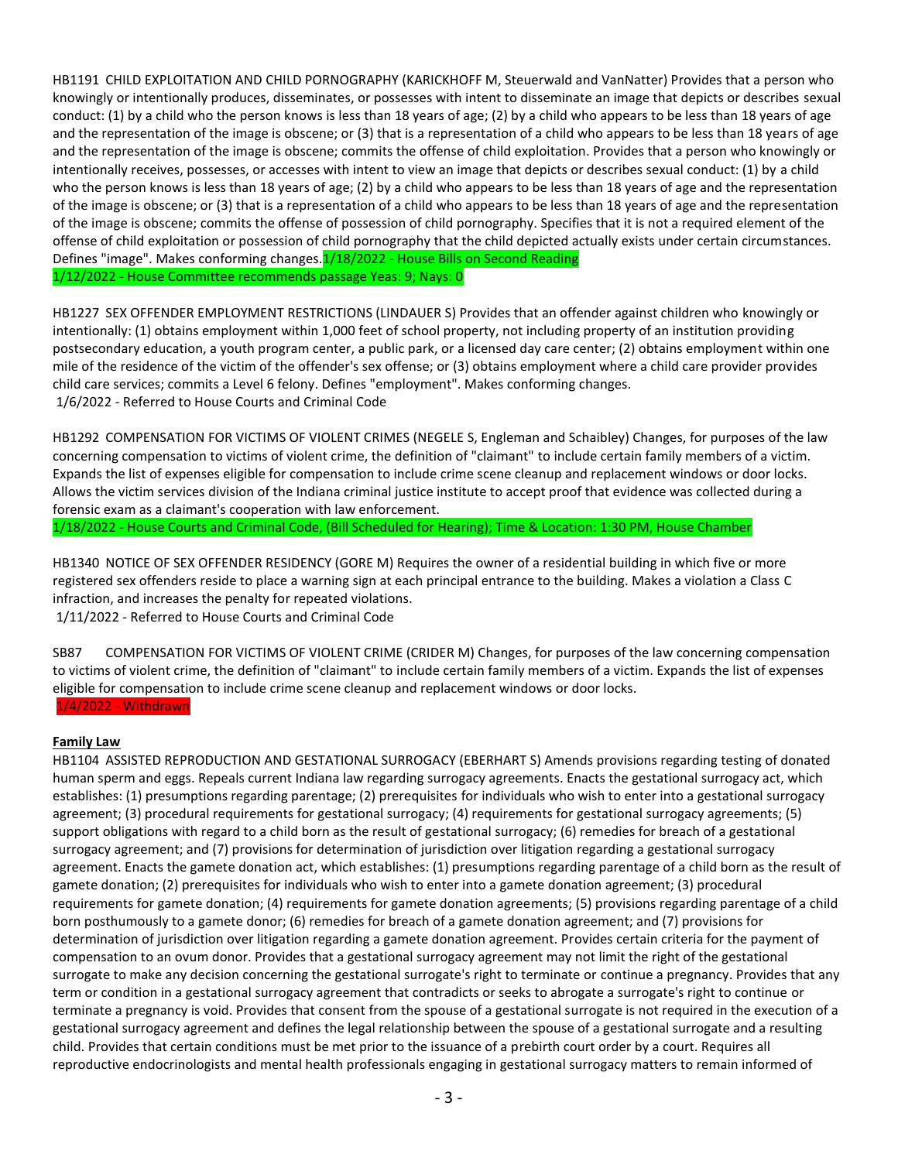HB1191 CHILD EXPLOITATION AND CHILD PORNOGRAPHY (KARICKHOFF M, Steuerwald and VanNatter) Provides that a person who knowingly or intentionally produces, disseminates, or possesses with intent to disseminate an image that depicts or describes sexual conduct: (1) by a child who the person knows is less than 18 years of age; (2) by a child who appears to be less than 18 years of age and the representation of the image is obscene; or (3) that is a representation of a child who appears to be less than 18 years of age and the representation of the image is obscene; commits the offense of child exploitation. Provides that a person who knowingly or intentionally receives, possesses, or accesses with intent to view an image that depicts or describes sexual conduct: (1) by a child who the person knows is less than 18 years of age; (2) by a child who appears to be less than 18 years of age and the representation of the image is obscene; or (3) that is a representation of a child who appears to be less than 18 years of age and the representation of the image is obscene; commits the offense of possession of child pornography. Specifies that it is not a required element of the offense of child exploitation or possession of child pornography that the child depicted actually exists under certain circumstances. Defines "image". Makes conforming changes.1/18/2022 - House Bills on Second Reading 1/12/2022 - House Committee recommends passage Yeas: 9; Nays: 0

HB1227 SEX OFFENDER EMPLOYMENT RESTRICTIONS (LINDAUER S) Provides that an offender against children who knowingly or intentionally: (1) obtains employment within 1,000 feet of school property, not including property of an institution providing postsecondary education, a youth program center, a public park, or a licensed day care center; (2) obtains employment within one mile of the residence of the victim of the offender's sex offense; or (3) obtains employment where a child care provider provides child care services; commits a Level 6 felony. Defines "employment". Makes conforming changes. 1/6/2022 - Referred to House Courts and Criminal Code

HB1292 COMPENSATION FOR VICTIMS OF VIOLENT CRIMES (NEGELE S, Engleman and Schaibley) Changes, for purposes of the law concerning compensation to victims of violent crime, the definition of "claimant" to include certain family members of a victim. Expands the list of expenses eligible for compensation to include crime scene cleanup and replacement windows or door locks. Allows the victim services division of the Indiana criminal justice institute to accept proof that evidence was collected during a forensic exam as a claimant's cooperation with law enforcement.

1/18/2022 - House Courts and Criminal Code, (Bill Scheduled for Hearing); Time & Location: 1:30 PM, House Chamber

HB1340 NOTICE OF SEX OFFENDER RESIDENCY (GORE M) Requires the owner of a residential building in which five or more registered sex offenders reside to place a warning sign at each principal entrance to the building. Makes a violation a Class C infraction, and increases the penalty for repeated violations.

1/11/2022 - Referred to House Courts and Criminal Code

SB87 COMPENSATION FOR VICTIMS OF VIOLENT CRIME (CRIDER M) Changes, for purposes of the law concerning compensation to victims of violent crime, the definition of "claimant" to include certain family members of a victim. Expands the list of expenses eligible for compensation to include crime scene cleanup and replacement windows or door locks. 1/4/2022 - Withdrawn

# **Family Law**

HB1104 ASSISTED REPRODUCTION AND GESTATIONAL SURROGACY (EBERHART S) Amends provisions regarding testing of donated human sperm and eggs. Repeals current Indiana law regarding surrogacy agreements. Enacts the gestational surrogacy act, which establishes: (1) presumptions regarding parentage; (2) prerequisites for individuals who wish to enter into a gestational surrogacy agreement; (3) procedural requirements for gestational surrogacy; (4) requirements for gestational surrogacy agreements; (5) support obligations with regard to a child born as the result of gestational surrogacy; (6) remedies for breach of a gestational surrogacy agreement; and (7) provisions for determination of jurisdiction over litigation regarding a gestational surrogacy agreement. Enacts the gamete donation act, which establishes: (1) presumptions regarding parentage of a child born as the result of gamete donation; (2) prerequisites for individuals who wish to enter into a gamete donation agreement; (3) procedural requirements for gamete donation; (4) requirements for gamete donation agreements; (5) provisions regarding parentage of a child born posthumously to a gamete donor; (6) remedies for breach of a gamete donation agreement; and (7) provisions for determination of jurisdiction over litigation regarding a gamete donation agreement. Provides certain criteria for the payment of compensation to an ovum donor. Provides that a gestational surrogacy agreement may not limit the right of the gestational surrogate to make any decision concerning the gestational surrogate's right to terminate or continue a pregnancy. Provides that any term or condition in a gestational surrogacy agreement that contradicts or seeks to abrogate a surrogate's right to continue or terminate a pregnancy is void. Provides that consent from the spouse of a gestational surrogate is not required in the execution of a gestational surrogacy agreement and defines the legal relationship between the spouse of a gestational surrogate and a resulting child. Provides that certain conditions must be met prior to the issuance of a prebirth court order by a court. Requires all reproductive endocrinologists and mental health professionals engaging in gestational surrogacy matters to remain informed of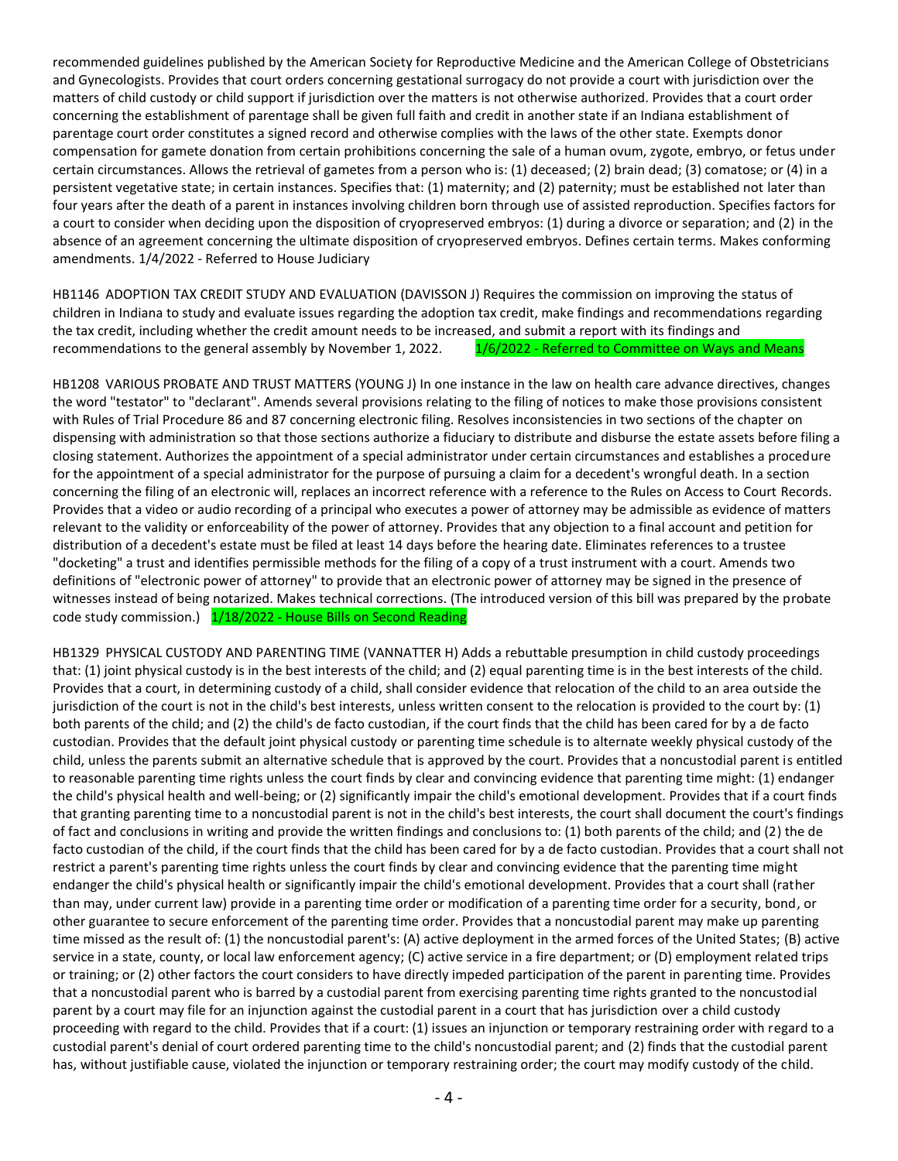recommended guidelines published by the American Society for Reproductive Medicine and the American College of Obstetricians and Gynecologists. Provides that court orders concerning gestational surrogacy do not provide a court with jurisdiction over the matters of child custody or child support if jurisdiction over the matters is not otherwise authorized. Provides that a court order concerning the establishment of parentage shall be given full faith and credit in another state if an Indiana establishment of parentage court order constitutes a signed record and otherwise complies with the laws of the other state. Exempts donor compensation for gamete donation from certain prohibitions concerning the sale of a human ovum, zygote, embryo, or fetus under certain circumstances. Allows the retrieval of gametes from a person who is: (1) deceased; (2) brain dead; (3) comatose; or (4) in a persistent vegetative state; in certain instances. Specifies that: (1) maternity; and (2) paternity; must be established not later than four years after the death of a parent in instances involving children born through use of assisted reproduction. Specifies factors for a court to consider when deciding upon the disposition of cryopreserved embryos: (1) during a divorce or separation; and (2) in the absence of an agreement concerning the ultimate disposition of cryopreserved embryos. Defines certain terms. Makes conforming amendments. 1/4/2022 - Referred to House Judiciary

HB1146 ADOPTION TAX CREDIT STUDY AND EVALUATION (DAVISSON J) Requires the commission on improving the status of children in Indiana to study and evaluate issues regarding the adoption tax credit, make findings and recommendations regarding the tax credit, including whether the credit amount needs to be increased, and submit a report with its findings and recommendations to the general assembly by November 1, 2022. 1/6/2022 - Referred to Committee on Ways and Means

HB1208 VARIOUS PROBATE AND TRUST MATTERS (YOUNG J) In one instance in the law on health care advance directives, changes the word "testator" to "declarant". Amends several provisions relating to the filing of notices to make those provisions consistent with Rules of Trial Procedure 86 and 87 concerning electronic filing. Resolves inconsistencies in two sections of the chapter on dispensing with administration so that those sections authorize a fiduciary to distribute and disburse the estate assets before filing a closing statement. Authorizes the appointment of a special administrator under certain circumstances and establishes a procedure for the appointment of a special administrator for the purpose of pursuing a claim for a decedent's wrongful death. In a section concerning the filing of an electronic will, replaces an incorrect reference with a reference to the Rules on Access to Court Records. Provides that a video or audio recording of a principal who executes a power of attorney may be admissible as evidence of matters relevant to the validity or enforceability of the power of attorney. Provides that any objection to a final account and petition for distribution of a decedent's estate must be filed at least 14 days before the hearing date. Eliminates references to a trustee "docketing" a trust and identifies permissible methods for the filing of a copy of a trust instrument with a court. Amends two definitions of "electronic power of attorney" to provide that an electronic power of attorney may be signed in the presence of witnesses instead of being notarized. Makes technical corrections. (The introduced version of this bill was prepared by the probate code study commission.) 1/18/2022 - House Bills on Second Reading

HB1329 PHYSICAL CUSTODY AND PARENTING TIME (VANNATTER H) Adds a rebuttable presumption in child custody proceedings that: (1) joint physical custody is in the best interests of the child; and (2) equal parenting time is in the best interests of the child. Provides that a court, in determining custody of a child, shall consider evidence that relocation of the child to an area outside the jurisdiction of the court is not in the child's best interests, unless written consent to the relocation is provided to the court by: (1) both parents of the child; and (2) the child's de facto custodian, if the court finds that the child has been cared for by a de facto custodian. Provides that the default joint physical custody or parenting time schedule is to alternate weekly physical custody of the child, unless the parents submit an alternative schedule that is approved by the court. Provides that a noncustodial parent is entitled to reasonable parenting time rights unless the court finds by clear and convincing evidence that parenting time might: (1) endanger the child's physical health and well-being; or (2) significantly impair the child's emotional development. Provides that if a court finds that granting parenting time to a noncustodial parent is not in the child's best interests, the court shall document the court's findings of fact and conclusions in writing and provide the written findings and conclusions to: (1) both parents of the child; and (2) the de facto custodian of the child, if the court finds that the child has been cared for by a de facto custodian. Provides that a court shall not restrict a parent's parenting time rights unless the court finds by clear and convincing evidence that the parenting time might endanger the child's physical health or significantly impair the child's emotional development. Provides that a court shall (rather than may, under current law) provide in a parenting time order or modification of a parenting time order for a security, bond, or other guarantee to secure enforcement of the parenting time order. Provides that a noncustodial parent may make up parenting time missed as the result of: (1) the noncustodial parent's: (A) active deployment in the armed forces of the United States; (B) active service in a state, county, or local law enforcement agency; (C) active service in a fire department; or (D) employment related trips or training; or (2) other factors the court considers to have directly impeded participation of the parent in parenting time. Provides that a noncustodial parent who is barred by a custodial parent from exercising parenting time rights granted to the noncustodial parent by a court may file for an injunction against the custodial parent in a court that has jurisdiction over a child custody proceeding with regard to the child. Provides that if a court: (1) issues an injunction or temporary restraining order with regard to a custodial parent's denial of court ordered parenting time to the child's noncustodial parent; and (2) finds that the custodial parent has, without justifiable cause, violated the injunction or temporary restraining order; the court may modify custody of the child.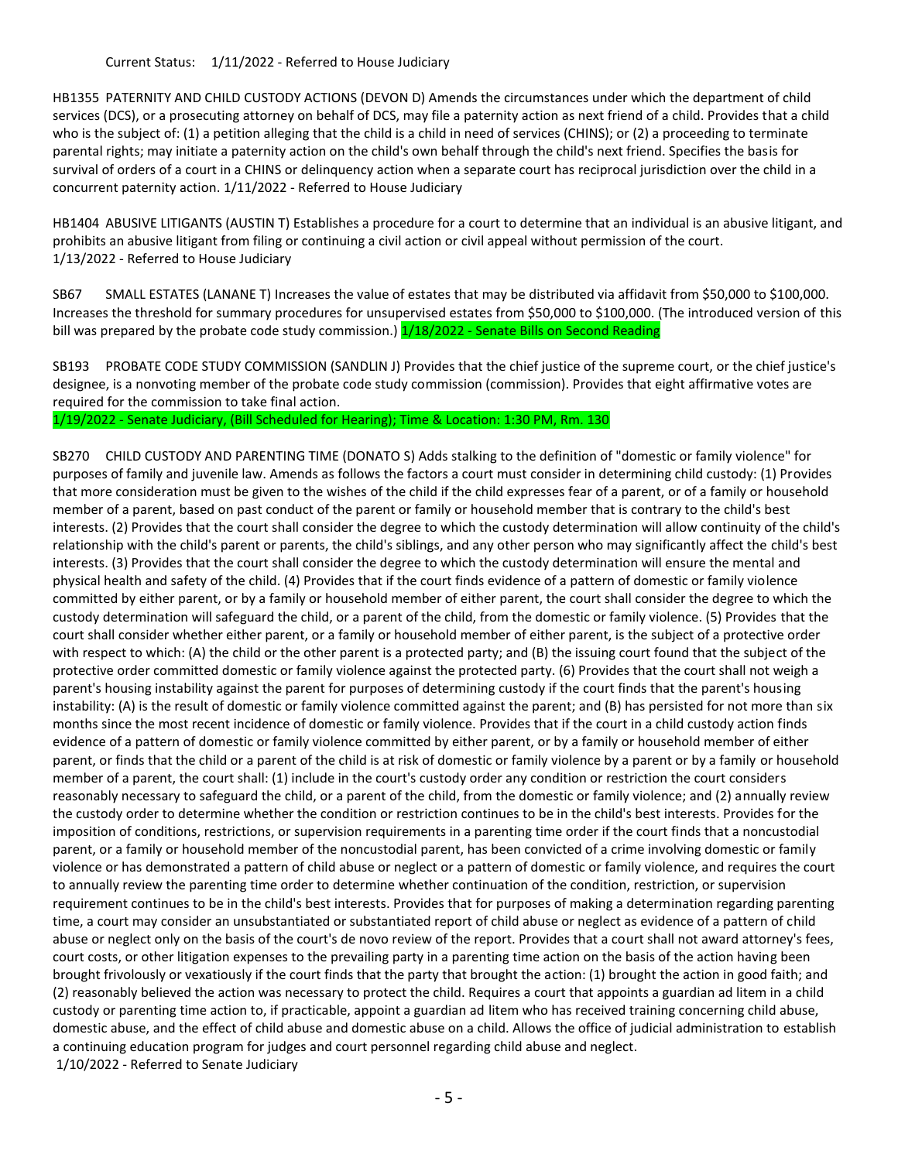Current Status: 1/11/2022 - Referred to House Judiciary

HB1355 PATERNITY AND CHILD CUSTODY ACTIONS (DEVON D) Amends the circumstances under which the department of child services (DCS), or a prosecuting attorney on behalf of DCS, may file a paternity action as next friend of a child. Provides that a child who is the subject of: (1) a petition alleging that the child is a child in need of services (CHINS); or (2) a proceeding to terminate parental rights; may initiate a paternity action on the child's own behalf through the child's next friend. Specifies the basis for survival of orders of a court in a CHINS or delinquency action when a separate court has reciprocal jurisdiction over the child in a concurrent paternity action. 1/11/2022 - Referred to House Judiciary

HB1404 ABUSIVE LITIGANTS (AUSTIN T) Establishes a procedure for a court to determine that an individual is an abusive litigant, and prohibits an abusive litigant from filing or continuing a civil action or civil appeal without permission of the court. 1/13/2022 - Referred to House Judiciary

SB67 SMALL ESTATES (LANANE T) Increases the value of estates that may be distributed via affidavit from \$50,000 to \$100,000. Increases the threshold for summary procedures for unsupervised estates from \$50,000 to \$100,000. (The introduced version of this bill was prepared by the probate code study commission.)  $1/18/2022$  - Senate Bills on Second Reading

SB193 PROBATE CODE STUDY COMMISSION (SANDLIN J) Provides that the chief justice of the supreme court, or the chief justice's designee, is a nonvoting member of the probate code study commission (commission). Provides that eight affirmative votes are required for the commission to take final action.

1/19/2022 - Senate Judiciary, (Bill Scheduled for Hearing); Time & Location: 1:30 PM, Rm. 130

SB270 CHILD CUSTODY AND PARENTING TIME (DONATO S) Adds stalking to the definition of "domestic or family violence" for purposes of family and juvenile law. Amends as follows the factors a court must consider in determining child custody: (1) Provides that more consideration must be given to the wishes of the child if the child expresses fear of a parent, or of a family or household member of a parent, based on past conduct of the parent or family or household member that is contrary to the child's best interests. (2) Provides that the court shall consider the degree to which the custody determination will allow continuity of the child's relationship with the child's parent or parents, the child's siblings, and any other person who may significantly affect the child's best interests. (3) Provides that the court shall consider the degree to which the custody determination will ensure the mental and physical health and safety of the child. (4) Provides that if the court finds evidence of a pattern of domestic or family violence committed by either parent, or by a family or household member of either parent, the court shall consider the degree to which the custody determination will safeguard the child, or a parent of the child, from the domestic or family violence. (5) Provides that the court shall consider whether either parent, or a family or household member of either parent, is the subject of a protective order with respect to which: (A) the child or the other parent is a protected party; and (B) the issuing court found that the subject of the protective order committed domestic or family violence against the protected party. (6) Provides that the court shall not weigh a parent's housing instability against the parent for purposes of determining custody if the court finds that the parent's housing instability: (A) is the result of domestic or family violence committed against the parent; and (B) has persisted for not more than six months since the most recent incidence of domestic or family violence. Provides that if the court in a child custody action finds evidence of a pattern of domestic or family violence committed by either parent, or by a family or household member of either parent, or finds that the child or a parent of the child is at risk of domestic or family violence by a parent or by a family or household member of a parent, the court shall: (1) include in the court's custody order any condition or restriction the court considers reasonably necessary to safeguard the child, or a parent of the child, from the domestic or family violence; and (2) annually review the custody order to determine whether the condition or restriction continues to be in the child's best interests. Provides for the imposition of conditions, restrictions, or supervision requirements in a parenting time order if the court finds that a noncustodial parent, or a family or household member of the noncustodial parent, has been convicted of a crime involving domestic or family violence or has demonstrated a pattern of child abuse or neglect or a pattern of domestic or family violence, and requires the court to annually review the parenting time order to determine whether continuation of the condition, restriction, or supervision requirement continues to be in the child's best interests. Provides that for purposes of making a determination regarding parenting time, a court may consider an unsubstantiated or substantiated report of child abuse or neglect as evidence of a pattern of child abuse or neglect only on the basis of the court's de novo review of the report. Provides that a court shall not award attorney's fees, court costs, or other litigation expenses to the prevailing party in a parenting time action on the basis of the action having been brought frivolously or vexatiously if the court finds that the party that brought the action: (1) brought the action in good faith; and (2) reasonably believed the action was necessary to protect the child. Requires a court that appoints a guardian ad litem in a child custody or parenting time action to, if practicable, appoint a guardian ad litem who has received training concerning child abuse, domestic abuse, and the effect of child abuse and domestic abuse on a child. Allows the office of judicial administration to establish a continuing education program for judges and court personnel regarding child abuse and neglect. 1/10/2022 - Referred to Senate Judiciary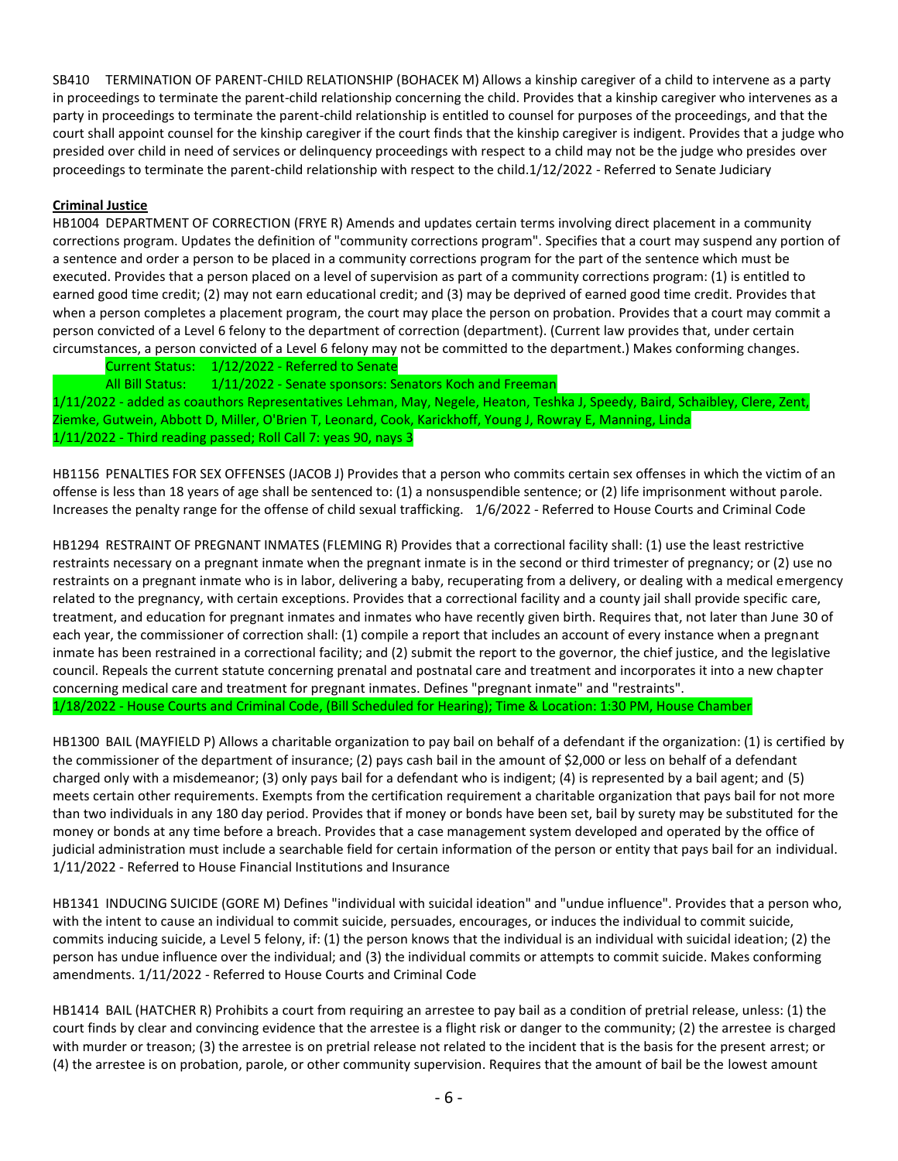SB410 TERMINATION OF PARENT-CHILD RELATIONSHIP (BOHACEK M) Allows a kinship caregiver of a child to intervene as a party in proceedings to terminate the parent-child relationship concerning the child. Provides that a kinship caregiver who intervenes as a party in proceedings to terminate the parent-child relationship is entitled to counsel for purposes of the proceedings, and that the court shall appoint counsel for the kinship caregiver if the court finds that the kinship caregiver is indigent. Provides that a judge who presided over child in need of services or delinquency proceedings with respect to a child may not be the judge who presides over proceedings to terminate the parent-child relationship with respect to the child.1/12/2022 - Referred to Senate Judiciary

# **Criminal Justice**

HB1004 DEPARTMENT OF CORRECTION (FRYE R) Amends and updates certain terms involving direct placement in a community corrections program. Updates the definition of "community corrections program". Specifies that a court may suspend any portion of a sentence and order a person to be placed in a community corrections program for the part of the sentence which must be executed. Provides that a person placed on a level of supervision as part of a community corrections program: (1) is entitled to earned good time credit; (2) may not earn educational credit; and (3) may be deprived of earned good time credit. Provides that when a person completes a placement program, the court may place the person on probation. Provides that a court may commit a person convicted of a Level 6 felony to the department of correction (department). (Current law provides that, under certain circumstances, a person convicted of a Level 6 felony may not be committed to the department.) Makes conforming changes.

Current Status: 1/12/2022 - Referred to Senate

All Bill Status: 1/11/2022 - Senate sponsors: Senators Koch and Freeman

1/11/2022 - added as coauthors Representatives Lehman, May, Negele, Heaton, Teshka J, Speedy, Baird, Schaibley, Clere, Zent, Ziemke, Gutwein, Abbott D, Miller, O'Brien T, Leonard, Cook, Karickhoff, Young J, Rowray E, Manning, Linda 1/11/2022 - Third reading passed; Roll Call 7: yeas 90, nays 3

HB1156 PENALTIES FOR SEX OFFENSES (JACOB J) Provides that a person who commits certain sex offenses in which the victim of an offense is less than 18 years of age shall be sentenced to: (1) a nonsuspendible sentence; or (2) life imprisonment without parole. Increases the penalty range for the offense of child sexual trafficking. 1/6/2022 - Referred to House Courts and Criminal Code

HB1294 RESTRAINT OF PREGNANT INMATES (FLEMING R) Provides that a correctional facility shall: (1) use the least restrictive restraints necessary on a pregnant inmate when the pregnant inmate is in the second or third trimester of pregnancy; or (2) use no restraints on a pregnant inmate who is in labor, delivering a baby, recuperating from a delivery, or dealing with a medical emergency related to the pregnancy, with certain exceptions. Provides that a correctional facility and a county jail shall provide specific care, treatment, and education for pregnant inmates and inmates who have recently given birth. Requires that, not later than June 30 of each year, the commissioner of correction shall: (1) compile a report that includes an account of every instance when a pregnant inmate has been restrained in a correctional facility; and (2) submit the report to the governor, the chief justice, and the legislative council. Repeals the current statute concerning prenatal and postnatal care and treatment and incorporates it into a new chapter concerning medical care and treatment for pregnant inmates. Defines "pregnant inmate" and "restraints". 1/18/2022 - House Courts and Criminal Code, (Bill Scheduled for Hearing); Time & Location: 1:30 PM, House Chamber

HB1300 BAIL (MAYFIELD P) Allows a charitable organization to pay bail on behalf of a defendant if the organization: (1) is certified by the commissioner of the department of insurance; (2) pays cash bail in the amount of \$2,000 or less on behalf of a defendant charged only with a misdemeanor; (3) only pays bail for a defendant who is indigent; (4) is represented by a bail agent; and (5) meets certain other requirements. Exempts from the certification requirement a charitable organization that pays bail for not more than two individuals in any 180 day period. Provides that if money or bonds have been set, bail by surety may be substituted for the money or bonds at any time before a breach. Provides that a case management system developed and operated by the office of judicial administration must include a searchable field for certain information of the person or entity that pays bail for an individual. 1/11/2022 - Referred to House Financial Institutions and Insurance

HB1341 INDUCING SUICIDE (GORE M) Defines "individual with suicidal ideation" and "undue influence". Provides that a person who, with the intent to cause an individual to commit suicide, persuades, encourages, or induces the individual to commit suicide, commits inducing suicide, a Level 5 felony, if: (1) the person knows that the individual is an individual with suicidal ideation; (2) the person has undue influence over the individual; and (3) the individual commits or attempts to commit suicide. Makes conforming amendments. 1/11/2022 - Referred to House Courts and Criminal Code

HB1414 BAIL (HATCHER R) Prohibits a court from requiring an arrestee to pay bail as a condition of pretrial release, unless: (1) the court finds by clear and convincing evidence that the arrestee is a flight risk or danger to the community; (2) the arrestee is charged with murder or treason; (3) the arrestee is on pretrial release not related to the incident that is the basis for the present arrest; or (4) the arrestee is on probation, parole, or other community supervision. Requires that the amount of bail be the lowest amount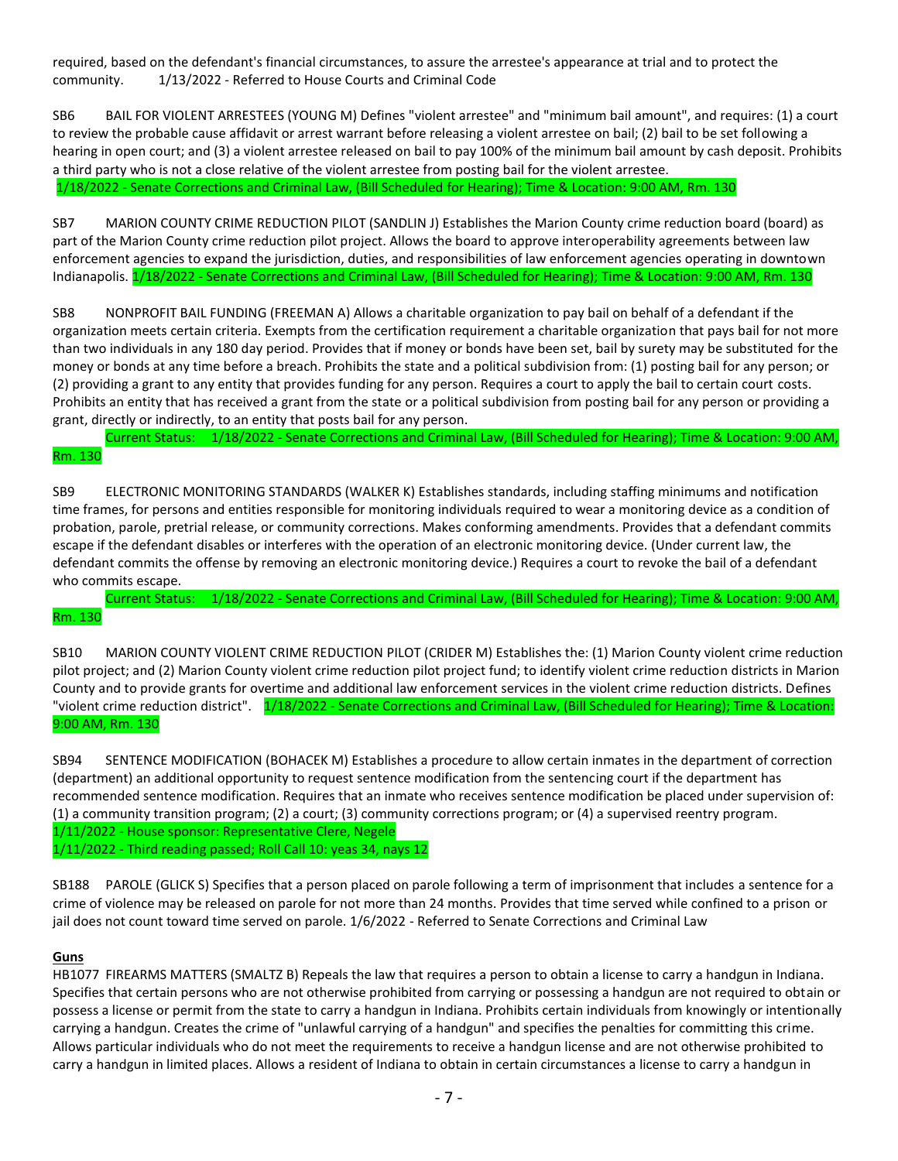required, based on the defendant's financial circumstances, to assure the arrestee's appearance at trial and to protect the community. 1/13/2022 - Referred to House Courts and Criminal Code

SB6 BAIL FOR VIOLENT ARRESTEES (YOUNG M) Defines "violent arrestee" and "minimum bail amount", and requires: (1) a court to review the probable cause affidavit or arrest warrant before releasing a violent arrestee on bail; (2) bail to be set following a hearing in open court; and (3) a violent arrestee released on bail to pay 100% of the minimum bail amount by cash deposit. Prohibits a third party who is not a close relative of the violent arrestee from posting bail for the violent arrestee. 1/18/2022 - Senate Corrections and Criminal Law, (Bill Scheduled for Hearing); Time & Location: 9:00 AM, Rm. 130

SB7 MARION COUNTY CRIME REDUCTION PILOT (SANDLIN J) Establishes the Marion County crime reduction board (board) as part of the Marion County crime reduction pilot project. Allows the board to approve interoperability agreements between law enforcement agencies to expand the jurisdiction, duties, and responsibilities of law enforcement agencies operating in downtown Indianapolis. 1/18/2022 - Senate Corrections and Criminal Law, (Bill Scheduled for Hearing); Time & Location: 9:00 AM, Rm. 130

SB8 NONPROFIT BAIL FUNDING (FREEMAN A) Allows a charitable organization to pay bail on behalf of a defendant if the organization meets certain criteria. Exempts from the certification requirement a charitable organization that pays bail for not more than two individuals in any 180 day period. Provides that if money or bonds have been set, bail by surety may be substituted for the money or bonds at any time before a breach. Prohibits the state and a political subdivision from: (1) posting bail for any person; or (2) providing a grant to any entity that provides funding for any person. Requires a court to apply the bail to certain court costs. Prohibits an entity that has received a grant from the state or a political subdivision from posting bail for any person or providing a grant, directly or indirectly, to an entity that posts bail for any person.

Current Status: 1/18/2022 - Senate Corrections and Criminal Law, (Bill Scheduled for Hearing); Time & Location: 9:00 AM, Rm. 130

SB9 ELECTRONIC MONITORING STANDARDS (WALKER K) Establishes standards, including staffing minimums and notification time frames, for persons and entities responsible for monitoring individuals required to wear a monitoring device as a condition of probation, parole, pretrial release, or community corrections. Makes conforming amendments. Provides that a defendant commits escape if the defendant disables or interferes with the operation of an electronic monitoring device. (Under current law, the defendant commits the offense by removing an electronic monitoring device.) Requires a court to revoke the bail of a defendant who commits escape.

Current Status: 1/18/2022 - Senate Corrections and Criminal Law, (Bill Scheduled for Hearing); Time & Location: 9:00 AM, Rm. 130

SB10 MARION COUNTY VIOLENT CRIME REDUCTION PILOT (CRIDER M) Establishes the: (1) Marion County violent crime reduction pilot project; and (2) Marion County violent crime reduction pilot project fund; to identify violent crime reduction districts in Marion County and to provide grants for overtime and additional law enforcement services in the violent crime reduction districts. Defines "violent crime reduction district". 1/18/2022 - Senate Corrections and Criminal Law, (Bill Scheduled for Hearing); Time & Location: 9:00 AM, Rm. 130

SB94 SENTENCE MODIFICATION (BOHACEK M) Establishes a procedure to allow certain inmates in the department of correction (department) an additional opportunity to request sentence modification from the sentencing court if the department has recommended sentence modification. Requires that an inmate who receives sentence modification be placed under supervision of: (1) a community transition program; (2) a court; (3) community corrections program; or (4) a supervised reentry program. 1/11/2022 - House sponsor: Representative Clere, Negele

1/11/2022 - Third reading passed; Roll Call 10: yeas 34, nays 12

SB188 PAROLE (GLICK S) Specifies that a person placed on parole following a term of imprisonment that includes a sentence for a crime of violence may be released on parole for not more than 24 months. Provides that time served while confined to a prison or jail does not count toward time served on parole. 1/6/2022 - Referred to Senate Corrections and Criminal Law

# **Guns**

HB1077 FIREARMS MATTERS (SMALTZ B) Repeals the law that requires a person to obtain a license to carry a handgun in Indiana. Specifies that certain persons who are not otherwise prohibited from carrying or possessing a handgun are not required to obtain or possess a license or permit from the state to carry a handgun in Indiana. Prohibits certain individuals from knowingly or intentionally carrying a handgun. Creates the crime of "unlawful carrying of a handgun" and specifies the penalties for committing this crime. Allows particular individuals who do not meet the requirements to receive a handgun license and are not otherwise prohibited to carry a handgun in limited places. Allows a resident of Indiana to obtain in certain circumstances a license to carry a handgun in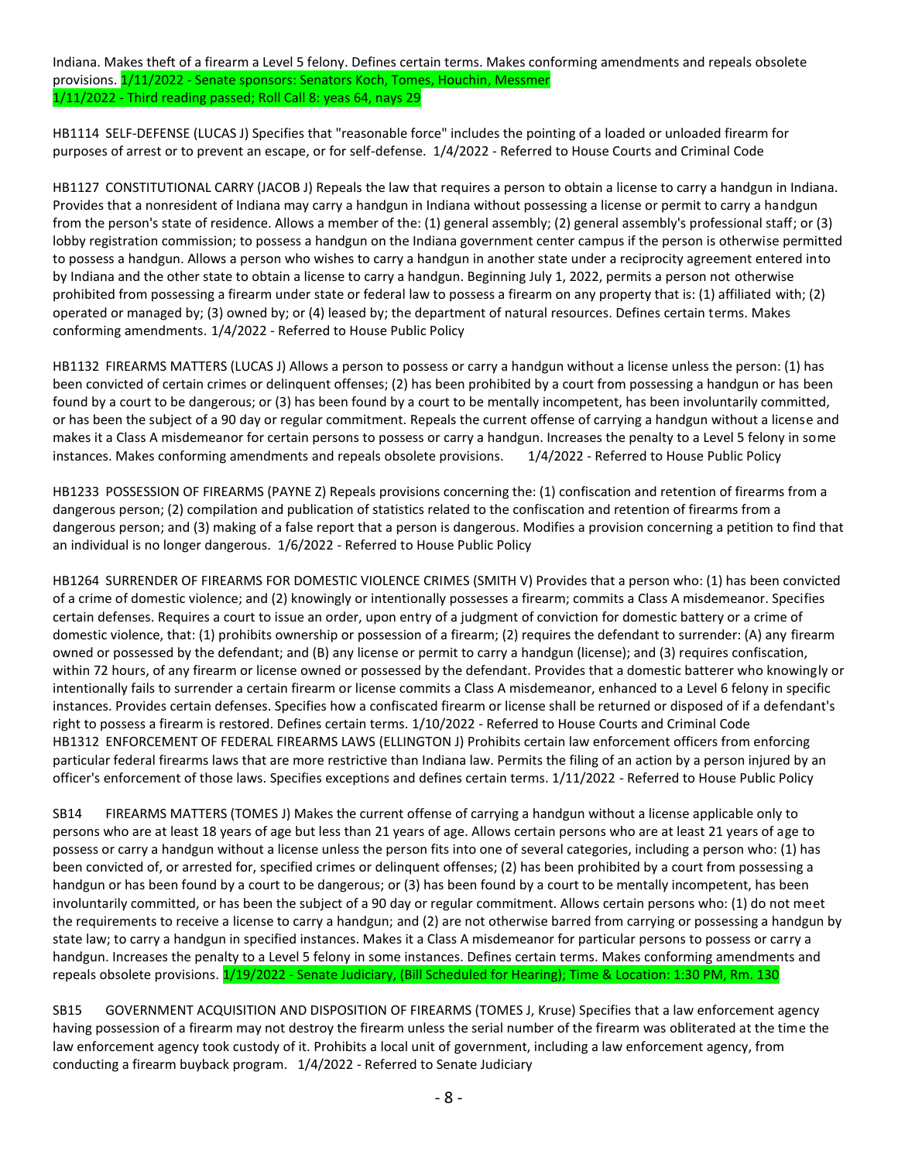Indiana. Makes theft of a firearm a Level 5 felony. Defines certain terms. Makes conforming amendments and repeals obsolete provisions. 1/11/2022 - Senate sponsors: Senators Koch, Tomes, Houchin, Messmer 1/11/2022 - Third reading passed; Roll Call 8: yeas 64, nays 29

HB1114 SELF-DEFENSE (LUCAS J) Specifies that "reasonable force" includes the pointing of a loaded or unloaded firearm for purposes of arrest or to prevent an escape, or for self-defense. 1/4/2022 - Referred to House Courts and Criminal Code

HB1127 CONSTITUTIONAL CARRY (JACOB J) Repeals the law that requires a person to obtain a license to carry a handgun in Indiana. Provides that a nonresident of Indiana may carry a handgun in Indiana without possessing a license or permit to carry a handgun from the person's state of residence. Allows a member of the: (1) general assembly; (2) general assembly's professional staff; or (3) lobby registration commission; to possess a handgun on the Indiana government center campus if the person is otherwise permitted to possess a handgun. Allows a person who wishes to carry a handgun in another state under a reciprocity agreement entered into by Indiana and the other state to obtain a license to carry a handgun. Beginning July 1, 2022, permits a person not otherwise prohibited from possessing a firearm under state or federal law to possess a firearm on any property that is: (1) affiliated with; (2) operated or managed by; (3) owned by; or (4) leased by; the department of natural resources. Defines certain terms. Makes conforming amendments. 1/4/2022 - Referred to House Public Policy

HB1132 FIREARMS MATTERS (LUCAS J) Allows a person to possess or carry a handgun without a license unless the person: (1) has been convicted of certain crimes or delinquent offenses; (2) has been prohibited by a court from possessing a handgun or has been found by a court to be dangerous; or (3) has been found by a court to be mentally incompetent, has been involuntarily committed, or has been the subject of a 90 day or regular commitment. Repeals the current offense of carrying a handgun without a license and makes it a Class A misdemeanor for certain persons to possess or carry a handgun. Increases the penalty to a Level 5 felony in some instances. Makes conforming amendments and repeals obsolete provisions. 1/4/2022 - Referred to House Public Policy

HB1233 POSSESSION OF FIREARMS (PAYNE Z) Repeals provisions concerning the: (1) confiscation and retention of firearms from a dangerous person; (2) compilation and publication of statistics related to the confiscation and retention of firearms from a dangerous person; and (3) making of a false report that a person is dangerous. Modifies a provision concerning a petition to find that an individual is no longer dangerous. 1/6/2022 - Referred to House Public Policy

HB1264 SURRENDER OF FIREARMS FOR DOMESTIC VIOLENCE CRIMES (SMITH V) Provides that a person who: (1) has been convicted of a crime of domestic violence; and (2) knowingly or intentionally possesses a firearm; commits a Class A misdemeanor. Specifies certain defenses. Requires a court to issue an order, upon entry of a judgment of conviction for domestic battery or a crime of domestic violence, that: (1) prohibits ownership or possession of a firearm; (2) requires the defendant to surrender: (A) any firearm owned or possessed by the defendant; and (B) any license or permit to carry a handgun (license); and (3) requires confiscation, within 72 hours, of any firearm or license owned or possessed by the defendant. Provides that a domestic batterer who knowingly or intentionally fails to surrender a certain firearm or license commits a Class A misdemeanor, enhanced to a Level 6 felony in specific instances. Provides certain defenses. Specifies how a confiscated firearm or license shall be returned or disposed of if a defendant's right to possess a firearm is restored. Defines certain terms. 1/10/2022 - Referred to House Courts and Criminal Code HB1312 ENFORCEMENT OF FEDERAL FIREARMS LAWS (ELLINGTON J) Prohibits certain law enforcement officers from enforcing particular federal firearms laws that are more restrictive than Indiana law. Permits the filing of an action by a person injured by an officer's enforcement of those laws. Specifies exceptions and defines certain terms. 1/11/2022 - Referred to House Public Policy

SB14 FIREARMS MATTERS (TOMES J) Makes the current offense of carrying a handgun without a license applicable only to persons who are at least 18 years of age but less than 21 years of age. Allows certain persons who are at least 21 years of age to possess or carry a handgun without a license unless the person fits into one of several categories, including a person who: (1) has been convicted of, or arrested for, specified crimes or delinquent offenses; (2) has been prohibited by a court from possessing a handgun or has been found by a court to be dangerous; or (3) has been found by a court to be mentally incompetent, has been involuntarily committed, or has been the subject of a 90 day or regular commitment. Allows certain persons who: (1) do not meet the requirements to receive a license to carry a handgun; and (2) are not otherwise barred from carrying or possessing a handgun by state law; to carry a handgun in specified instances. Makes it a Class A misdemeanor for particular persons to possess or carry a handgun. Increases the penalty to a Level 5 felony in some instances. Defines certain terms. Makes conforming amendments and repeals obsolete provisions. 1/19/2022 - Senate Judiciary, (Bill Scheduled for Hearing); Time & Location: 1:30 PM, Rm. 130

SB15 GOVERNMENT ACQUISITION AND DISPOSITION OF FIREARMS (TOMES J, Kruse) Specifies that a law enforcement agency having possession of a firearm may not destroy the firearm unless the serial number of the firearm was obliterated at the time the law enforcement agency took custody of it. Prohibits a local unit of government, including a law enforcement agency, from conducting a firearm buyback program. 1/4/2022 - Referred to Senate Judiciary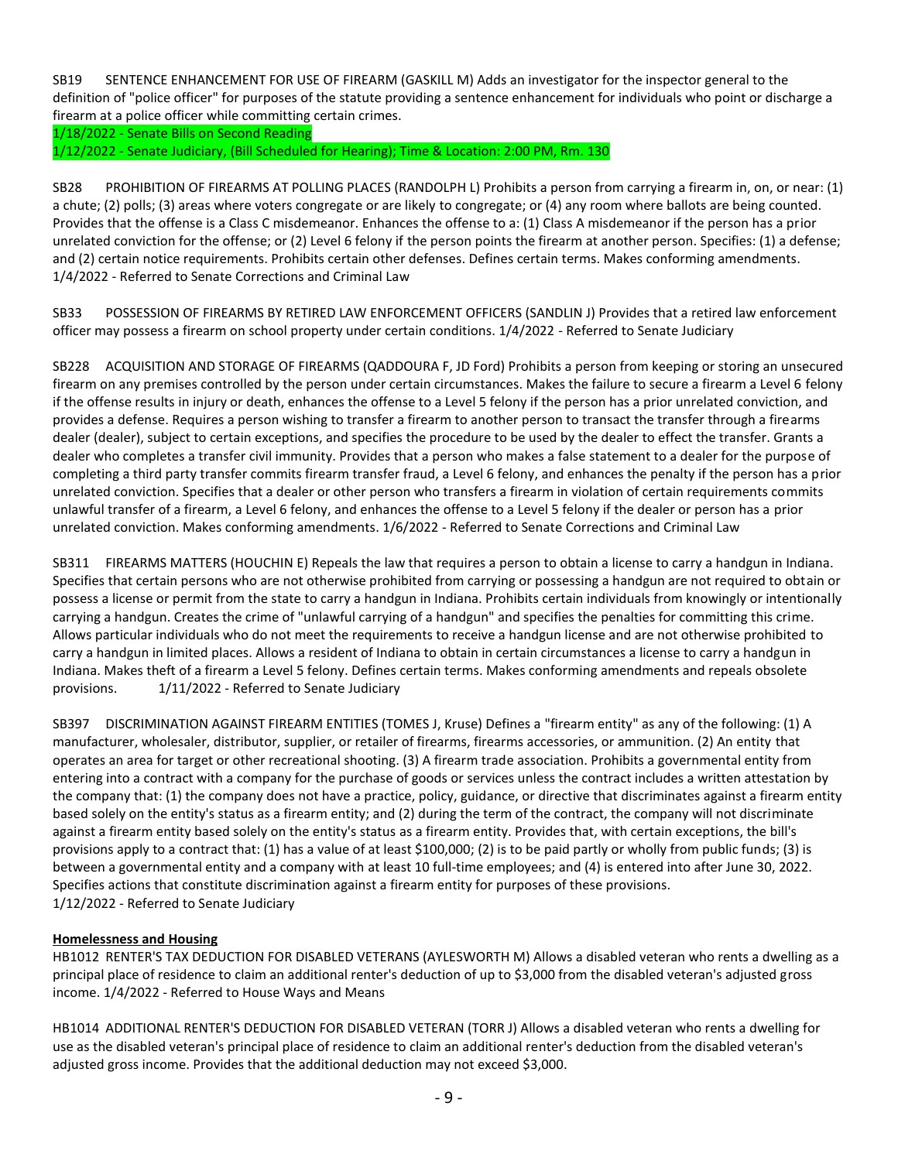SB19 SENTENCE ENHANCEMENT FOR USE OF FIREARM (GASKILL M) Adds an investigator for the inspector general to the definition of "police officer" for purposes of the statute providing a sentence enhancement for individuals who point or discharge a firearm at a police officer while committing certain crimes.

1/18/2022 - Senate Bills on Second Reading

1/12/2022 - Senate Judiciary, (Bill Scheduled for Hearing); Time & Location: 2:00 PM, Rm. 130

SB28 PROHIBITION OF FIREARMS AT POLLING PLACES (RANDOLPH L) Prohibits a person from carrying a firearm in, on, or near: (1) a chute; (2) polls; (3) areas where voters congregate or are likely to congregate; or (4) any room where ballots are being counted. Provides that the offense is a Class C misdemeanor. Enhances the offense to a: (1) Class A misdemeanor if the person has a prior unrelated conviction for the offense; or (2) Level 6 felony if the person points the firearm at another person. Specifies: (1) a defense; and (2) certain notice requirements. Prohibits certain other defenses. Defines certain terms. Makes conforming amendments. 1/4/2022 - Referred to Senate Corrections and Criminal Law

SB33 POSSESSION OF FIREARMS BY RETIRED LAW ENFORCEMENT OFFICERS (SANDLIN J) Provides that a retired law enforcement officer may possess a firearm on school property under certain conditions. 1/4/2022 - Referred to Senate Judiciary

SB228 ACQUISITION AND STORAGE OF FIREARMS (QADDOURA F, JD Ford) Prohibits a person from keeping or storing an unsecured firearm on any premises controlled by the person under certain circumstances. Makes the failure to secure a firearm a Level 6 felony if the offense results in injury or death, enhances the offense to a Level 5 felony if the person has a prior unrelated conviction, and provides a defense. Requires a person wishing to transfer a firearm to another person to transact the transfer through a firearms dealer (dealer), subject to certain exceptions, and specifies the procedure to be used by the dealer to effect the transfer. Grants a dealer who completes a transfer civil immunity. Provides that a person who makes a false statement to a dealer for the purpose of completing a third party transfer commits firearm transfer fraud, a Level 6 felony, and enhances the penalty if the person has a prior unrelated conviction. Specifies that a dealer or other person who transfers a firearm in violation of certain requirements commits unlawful transfer of a firearm, a Level 6 felony, and enhances the offense to a Level 5 felony if the dealer or person has a prior unrelated conviction. Makes conforming amendments. 1/6/2022 - Referred to Senate Corrections and Criminal Law

SB311 FIREARMS MATTERS (HOUCHIN E) Repeals the law that requires a person to obtain a license to carry a handgun in Indiana. Specifies that certain persons who are not otherwise prohibited from carrying or possessing a handgun are not required to obtain or possess a license or permit from the state to carry a handgun in Indiana. Prohibits certain individuals from knowingly or intentionally carrying a handgun. Creates the crime of "unlawful carrying of a handgun" and specifies the penalties for committing this crime. Allows particular individuals who do not meet the requirements to receive a handgun license and are not otherwise prohibited to carry a handgun in limited places. Allows a resident of Indiana to obtain in certain circumstances a license to carry a handgun in Indiana. Makes theft of a firearm a Level 5 felony. Defines certain terms. Makes conforming amendments and repeals obsolete provisions. 1/11/2022 - Referred to Senate Judiciary

SB397 DISCRIMINATION AGAINST FIREARM ENTITIES (TOMES J, Kruse) Defines a "firearm entity" as any of the following: (1) A manufacturer, wholesaler, distributor, supplier, or retailer of firearms, firearms accessories, or ammunition. (2) An entity that operates an area for target or other recreational shooting. (3) A firearm trade association. Prohibits a governmental entity from entering into a contract with a company for the purchase of goods or services unless the contract includes a written attestation by the company that: (1) the company does not have a practice, policy, guidance, or directive that discriminates against a firearm entity based solely on the entity's status as a firearm entity; and (2) during the term of the contract, the company will not discriminate against a firearm entity based solely on the entity's status as a firearm entity. Provides that, with certain exceptions, the bill's provisions apply to a contract that: (1) has a value of at least \$100,000; (2) is to be paid partly or wholly from public funds; (3) is between a governmental entity and a company with at least 10 full-time employees; and (4) is entered into after June 30, 2022. Specifies actions that constitute discrimination against a firearm entity for purposes of these provisions. 1/12/2022 - Referred to Senate Judiciary

# **Homelessness and Housing**

HB1012 RENTER'S TAX DEDUCTION FOR DISABLED VETERANS (AYLESWORTH M) Allows a disabled veteran who rents a dwelling as a principal place of residence to claim an additional renter's deduction of up to \$3,000 from the disabled veteran's adjusted gross income. 1/4/2022 - Referred to House Ways and Means

HB1014 ADDITIONAL RENTER'S DEDUCTION FOR DISABLED VETERAN (TORR J) Allows a disabled veteran who rents a dwelling for use as the disabled veteran's principal place of residence to claim an additional renter's deduction from the disabled veteran's adjusted gross income. Provides that the additional deduction may not exceed \$3,000.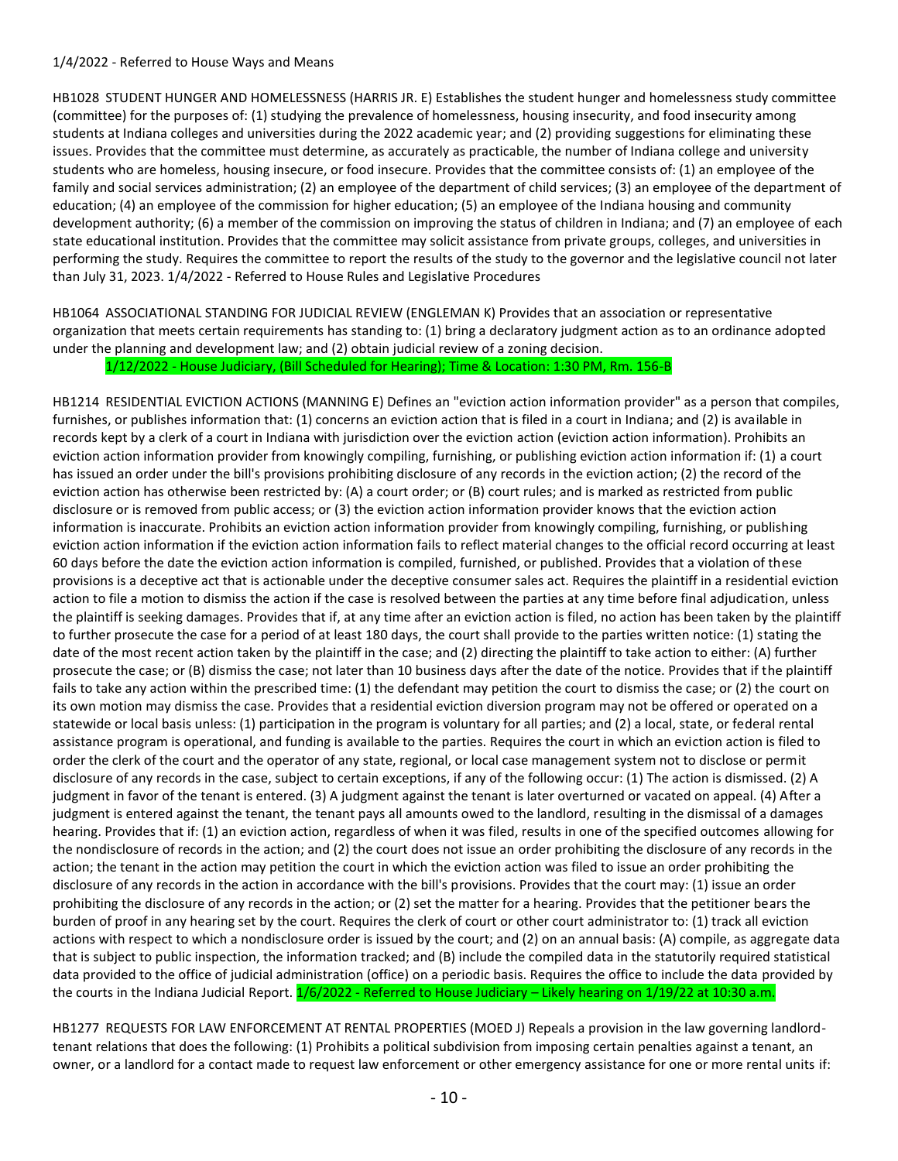### 1/4/2022 - Referred to House Ways and Means

HB1028 STUDENT HUNGER AND HOMELESSNESS (HARRIS JR. E) Establishes the student hunger and homelessness study committee (committee) for the purposes of: (1) studying the prevalence of homelessness, housing insecurity, and food insecurity among students at Indiana colleges and universities during the 2022 academic year; and (2) providing suggestions for eliminating these issues. Provides that the committee must determine, as accurately as practicable, the number of Indiana college and university students who are homeless, housing insecure, or food insecure. Provides that the committee consists of: (1) an employee of the family and social services administration; (2) an employee of the department of child services; (3) an employee of the department of education; (4) an employee of the commission for higher education; (5) an employee of the Indiana housing and community development authority; (6) a member of the commission on improving the status of children in Indiana; and (7) an employee of each state educational institution. Provides that the committee may solicit assistance from private groups, colleges, and universities in performing the study. Requires the committee to report the results of the study to the governor and the legislative council not later than July 31, 2023. 1/4/2022 - Referred to House Rules and Legislative Procedures

HB1064 ASSOCIATIONAL STANDING FOR JUDICIAL REVIEW (ENGLEMAN K) Provides that an association or representative organization that meets certain requirements has standing to: (1) bring a declaratory judgment action as to an ordinance adopted under the planning and development law; and (2) obtain judicial review of a zoning decision.

1/12/2022 - House Judiciary, (Bill Scheduled for Hearing); Time & Location: 1:30 PM, Rm. 156-B

HB1214 RESIDENTIAL EVICTION ACTIONS (MANNING E) Defines an "eviction action information provider" as a person that compiles, furnishes, or publishes information that: (1) concerns an eviction action that is filed in a court in Indiana; and (2) is available in records kept by a clerk of a court in Indiana with jurisdiction over the eviction action (eviction action information). Prohibits an eviction action information provider from knowingly compiling, furnishing, or publishing eviction action information if: (1) a court has issued an order under the bill's provisions prohibiting disclosure of any records in the eviction action; (2) the record of the eviction action has otherwise been restricted by: (A) a court order; or (B) court rules; and is marked as restricted from public disclosure or is removed from public access; or (3) the eviction action information provider knows that the eviction action information is inaccurate. Prohibits an eviction action information provider from knowingly compiling, furnishing, or publishing eviction action information if the eviction action information fails to reflect material changes to the official record occurring at least 60 days before the date the eviction action information is compiled, furnished, or published. Provides that a violation of these provisions is a deceptive act that is actionable under the deceptive consumer sales act. Requires the plaintiff in a residential eviction action to file a motion to dismiss the action if the case is resolved between the parties at any time before final adjudication, unless the plaintiff is seeking damages. Provides that if, at any time after an eviction action is filed, no action has been taken by the plaintiff to further prosecute the case for a period of at least 180 days, the court shall provide to the parties written notice: (1) stating the date of the most recent action taken by the plaintiff in the case; and (2) directing the plaintiff to take action to either: (A) further prosecute the case; or (B) dismiss the case; not later than 10 business days after the date of the notice. Provides that if the plaintiff fails to take any action within the prescribed time: (1) the defendant may petition the court to dismiss the case; or (2) the court on its own motion may dismiss the case. Provides that a residential eviction diversion program may not be offered or operated on a statewide or local basis unless: (1) participation in the program is voluntary for all parties; and (2) a local, state, or federal rental assistance program is operational, and funding is available to the parties. Requires the court in which an eviction action is filed to order the clerk of the court and the operator of any state, regional, or local case management system not to disclose or permit disclosure of any records in the case, subject to certain exceptions, if any of the following occur: (1) The action is dismissed. (2) A judgment in favor of the tenant is entered. (3) A judgment against the tenant is later overturned or vacated on appeal. (4) After a judgment is entered against the tenant, the tenant pays all amounts owed to the landlord, resulting in the dismissal of a damages hearing. Provides that if: (1) an eviction action, regardless of when it was filed, results in one of the specified outcomes allowing for the nondisclosure of records in the action; and (2) the court does not issue an order prohibiting the disclosure of any records in the action; the tenant in the action may petition the court in which the eviction action was filed to issue an order prohibiting the disclosure of any records in the action in accordance with the bill's provisions. Provides that the court may: (1) issue an order prohibiting the disclosure of any records in the action; or (2) set the matter for a hearing. Provides that the petitioner bears the burden of proof in any hearing set by the court. Requires the clerk of court or other court administrator to: (1) track all eviction actions with respect to which a nondisclosure order is issued by the court; and (2) on an annual basis: (A) compile, as aggregate data that is subject to public inspection, the information tracked; and (B) include the compiled data in the statutorily required statistical data provided to the office of judicial administration (office) on a periodic basis. Requires the office to include the data provided by the courts in the Indiana Judicial Report. 1/6/2022 - Referred to House Judiciary – Likely hearing on 1/19/22 at 10:30 a.m.

HB1277 REQUESTS FOR LAW ENFORCEMENT AT RENTAL PROPERTIES (MOED J) Repeals a provision in the law governing landlordtenant relations that does the following: (1) Prohibits a political subdivision from imposing certain penalties against a tenant, an owner, or a landlord for a contact made to request law enforcement or other emergency assistance for one or more rental units if: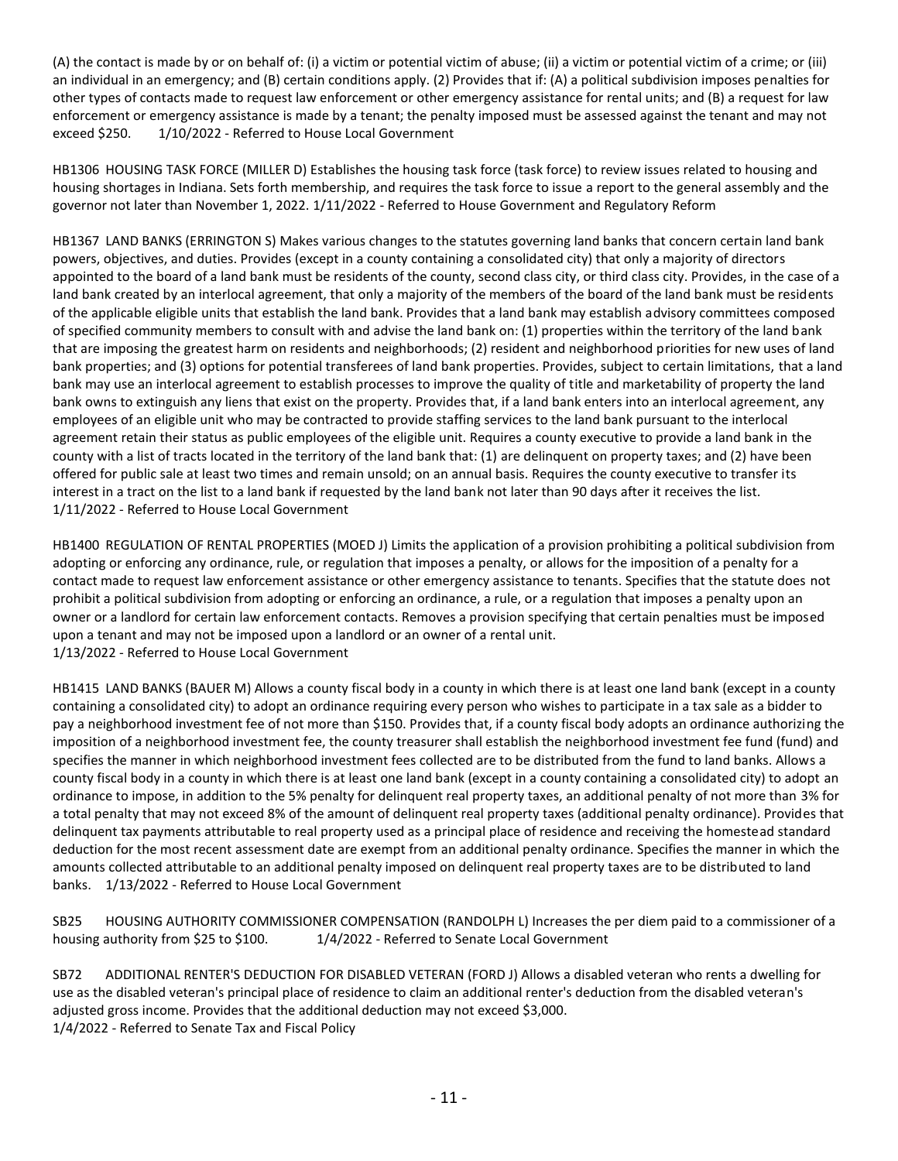(A) the contact is made by or on behalf of: (i) a victim or potential victim of abuse; (ii) a victim or potential victim of a crime; or (iii) an individual in an emergency; and (B) certain conditions apply. (2) Provides that if: (A) a political subdivision imposes penalties for other types of contacts made to request law enforcement or other emergency assistance for rental units; and (B) a request for law enforcement or emergency assistance is made by a tenant; the penalty imposed must be assessed against the tenant and may not exceed \$250. 1/10/2022 - Referred to House Local Government

HB1306 HOUSING TASK FORCE (MILLER D) Establishes the housing task force (task force) to review issues related to housing and housing shortages in Indiana. Sets forth membership, and requires the task force to issue a report to the general assembly and the governor not later than November 1, 2022. 1/11/2022 - Referred to House Government and Regulatory Reform

HB1367 LAND BANKS (ERRINGTON S) Makes various changes to the statutes governing land banks that concern certain land bank powers, objectives, and duties. Provides (except in a county containing a consolidated city) that only a majority of directors appointed to the board of a land bank must be residents of the county, second class city, or third class city. Provides, in the case of a land bank created by an interlocal agreement, that only a majority of the members of the board of the land bank must be residents of the applicable eligible units that establish the land bank. Provides that a land bank may establish advisory committees composed of specified community members to consult with and advise the land bank on: (1) properties within the territory of the land bank that are imposing the greatest harm on residents and neighborhoods; (2) resident and neighborhood priorities for new uses of land bank properties; and (3) options for potential transferees of land bank properties. Provides, subject to certain limitations, that a land bank may use an interlocal agreement to establish processes to improve the quality of title and marketability of property the land bank owns to extinguish any liens that exist on the property. Provides that, if a land bank enters into an interlocal agreement, any employees of an eligible unit who may be contracted to provide staffing services to the land bank pursuant to the interlocal agreement retain their status as public employees of the eligible unit. Requires a county executive to provide a land bank in the county with a list of tracts located in the territory of the land bank that: (1) are delinquent on property taxes; and (2) have been offered for public sale at least two times and remain unsold; on an annual basis. Requires the county executive to transfer its interest in a tract on the list to a land bank if requested by the land bank not later than 90 days after it receives the list. 1/11/2022 - Referred to House Local Government

HB1400 REGULATION OF RENTAL PROPERTIES (MOED J) Limits the application of a provision prohibiting a political subdivision from adopting or enforcing any ordinance, rule, or regulation that imposes a penalty, or allows for the imposition of a penalty for a contact made to request law enforcement assistance or other emergency assistance to tenants. Specifies that the statute does not prohibit a political subdivision from adopting or enforcing an ordinance, a rule, or a regulation that imposes a penalty upon an owner or a landlord for certain law enforcement contacts. Removes a provision specifying that certain penalties must be imposed upon a tenant and may not be imposed upon a landlord or an owner of a rental unit. 1/13/2022 - Referred to House Local Government

HB1415 LAND BANKS (BAUER M) Allows a county fiscal body in a county in which there is at least one land bank (except in a county containing a consolidated city) to adopt an ordinance requiring every person who wishes to participate in a tax sale as a bidder to pay a neighborhood investment fee of not more than \$150. Provides that, if a county fiscal body adopts an ordinance authorizing the imposition of a neighborhood investment fee, the county treasurer shall establish the neighborhood investment fee fund (fund) and specifies the manner in which neighborhood investment fees collected are to be distributed from the fund to land banks. Allows a county fiscal body in a county in which there is at least one land bank (except in a county containing a consolidated city) to adopt an ordinance to impose, in addition to the 5% penalty for delinquent real property taxes, an additional penalty of not more than 3% for a total penalty that may not exceed 8% of the amount of delinquent real property taxes (additional penalty ordinance). Provides that delinquent tax payments attributable to real property used as a principal place of residence and receiving the homestead standard deduction for the most recent assessment date are exempt from an additional penalty ordinance. Specifies the manner in which the amounts collected attributable to an additional penalty imposed on delinquent real property taxes are to be distributed to land banks. 1/13/2022 - Referred to House Local Government

SB25 HOUSING AUTHORITY COMMISSIONER COMPENSATION (RANDOLPH L) Increases the per diem paid to a commissioner of a housing authority from \$25 to \$100. 1/4/2022 - Referred to Senate Local Government

SB72 ADDITIONAL RENTER'S DEDUCTION FOR DISABLED VETERAN (FORD J) Allows a disabled veteran who rents a dwelling for use as the disabled veteran's principal place of residence to claim an additional renter's deduction from the disabled veteran's adjusted gross income. Provides that the additional deduction may not exceed \$3,000. 1/4/2022 - Referred to Senate Tax and Fiscal Policy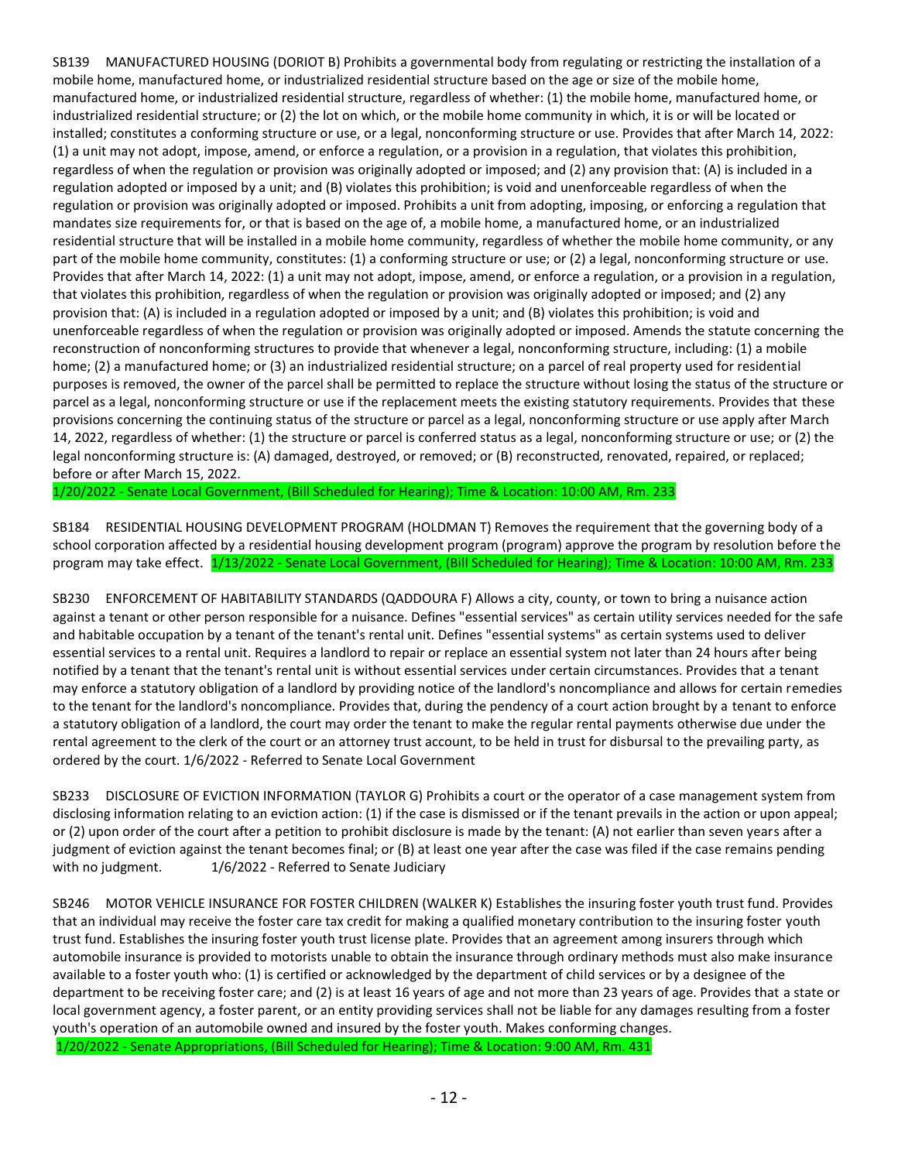SB139 MANUFACTURED HOUSING (DORIOT B) Prohibits a governmental body from regulating or restricting the installation of a mobile home, manufactured home, or industrialized residential structure based on the age or size of the mobile home, manufactured home, or industrialized residential structure, regardless of whether: (1) the mobile home, manufactured home, or industrialized residential structure; or (2) the lot on which, or the mobile home community in which, it is or will be located or installed; constitutes a conforming structure or use, or a legal, nonconforming structure or use. Provides that after March 14, 2022: (1) a unit may not adopt, impose, amend, or enforce a regulation, or a provision in a regulation, that violates this prohibition, regardless of when the regulation or provision was originally adopted or imposed; and (2) any provision that: (A) is included in a regulation adopted or imposed by a unit; and (B) violates this prohibition; is void and unenforceable regardless of when the regulation or provision was originally adopted or imposed. Prohibits a unit from adopting, imposing, or enforcing a regulation that mandates size requirements for, or that is based on the age of, a mobile home, a manufactured home, or an industrialized residential structure that will be installed in a mobile home community, regardless of whether the mobile home community, or any part of the mobile home community, constitutes: (1) a conforming structure or use; or (2) a legal, nonconforming structure or use. Provides that after March 14, 2022: (1) a unit may not adopt, impose, amend, or enforce a regulation, or a provision in a regulation, that violates this prohibition, regardless of when the regulation or provision was originally adopted or imposed; and (2) any provision that: (A) is included in a regulation adopted or imposed by a unit; and (B) violates this prohibition; is void and unenforceable regardless of when the regulation or provision was originally adopted or imposed. Amends the statute concerning the reconstruction of nonconforming structures to provide that whenever a legal, nonconforming structure, including: (1) a mobile home; (2) a manufactured home; or (3) an industrialized residential structure; on a parcel of real property used for residential purposes is removed, the owner of the parcel shall be permitted to replace the structure without losing the status of the structure or parcel as a legal, nonconforming structure or use if the replacement meets the existing statutory requirements. Provides that these provisions concerning the continuing status of the structure or parcel as a legal, nonconforming structure or use apply after March 14, 2022, regardless of whether: (1) the structure or parcel is conferred status as a legal, nonconforming structure or use; or (2) the legal nonconforming structure is: (A) damaged, destroyed, or removed; or (B) reconstructed, renovated, repaired, or replaced; before or after March 15, 2022.

1/20/2022 - Senate Local Government, (Bill Scheduled for Hearing); Time & Location: 10:00 AM, Rm. 233

SB184 RESIDENTIAL HOUSING DEVELOPMENT PROGRAM (HOLDMAN T) Removes the requirement that the governing body of a school corporation affected by a residential housing development program (program) approve the program by resolution before the program may take effect. 1/13/2022 - Senate Local Government, (Bill Scheduled for Hearing); Time & Location: 10:00 AM, Rm. 233

SB230 ENFORCEMENT OF HABITABILITY STANDARDS (QADDOURA F) Allows a city, county, or town to bring a nuisance action against a tenant or other person responsible for a nuisance. Defines "essential services" as certain utility services needed for the safe and habitable occupation by a tenant of the tenant's rental unit. Defines "essential systems" as certain systems used to deliver essential services to a rental unit. Requires a landlord to repair or replace an essential system not later than 24 hours after being notified by a tenant that the tenant's rental unit is without essential services under certain circumstances. Provides that a tenant may enforce a statutory obligation of a landlord by providing notice of the landlord's noncompliance and allows for certain remedies to the tenant for the landlord's noncompliance. Provides that, during the pendency of a court action brought by a tenant to enforce a statutory obligation of a landlord, the court may order the tenant to make the regular rental payments otherwise due under the rental agreement to the clerk of the court or an attorney trust account, to be held in trust for disbursal to the prevailing party, as ordered by the court. 1/6/2022 - Referred to Senate Local Government

SB233 DISCLOSURE OF EVICTION INFORMATION (TAYLOR G) Prohibits a court or the operator of a case management system from disclosing information relating to an eviction action: (1) if the case is dismissed or if the tenant prevails in the action or upon appeal; or (2) upon order of the court after a petition to prohibit disclosure is made by the tenant: (A) not earlier than seven years after a judgment of eviction against the tenant becomes final; or (B) at least one year after the case was filed if the case remains pending with no judgment. 1/6/2022 - Referred to Senate Judiciary

SB246 MOTOR VEHICLE INSURANCE FOR FOSTER CHILDREN (WALKER K) Establishes the insuring foster youth trust fund. Provides that an individual may receive the foster care tax credit for making a qualified monetary contribution to the insuring foster youth trust fund. Establishes the insuring foster youth trust license plate. Provides that an agreement among insurers through which automobile insurance is provided to motorists unable to obtain the insurance through ordinary methods must also make insurance available to a foster youth who: (1) is certified or acknowledged by the department of child services or by a designee of the department to be receiving foster care; and (2) is at least 16 years of age and not more than 23 years of age. Provides that a state or local government agency, a foster parent, or an entity providing services shall not be liable for any damages resulting from a foster youth's operation of an automobile owned and insured by the foster youth. Makes conforming changes.

1/20/2022 - Senate Appropriations, (Bill Scheduled for Hearing); Time & Location: 9:00 AM, Rm. 431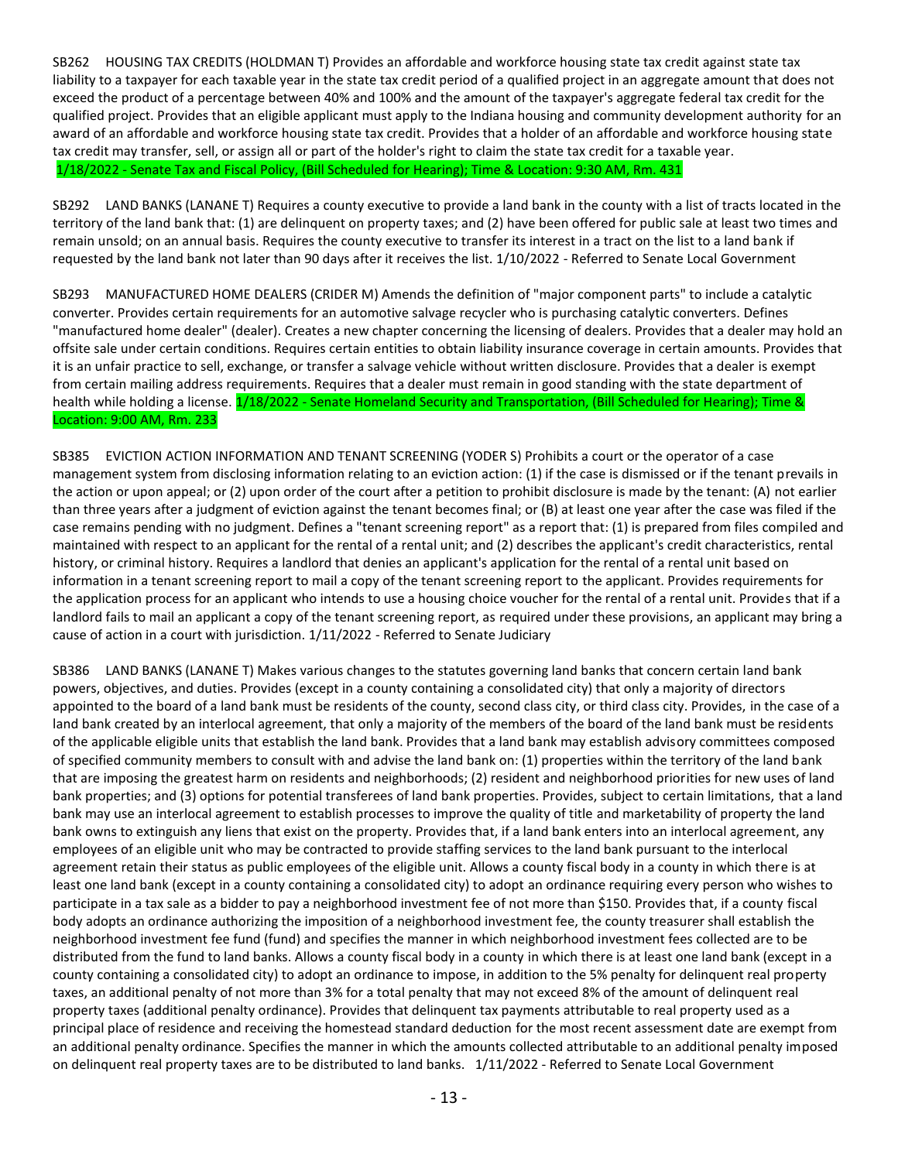SB262 HOUSING TAX CREDITS (HOLDMAN T) Provides an affordable and workforce housing state tax credit against state tax liability to a taxpayer for each taxable year in the state tax credit period of a qualified project in an aggregate amount that does not exceed the product of a percentage between 40% and 100% and the amount of the taxpayer's aggregate federal tax credit for the qualified project. Provides that an eligible applicant must apply to the Indiana housing and community development authority for an award of an affordable and workforce housing state tax credit. Provides that a holder of an affordable and workforce housing state tax credit may transfer, sell, or assign all or part of the holder's right to claim the state tax credit for a taxable year. 1/18/2022 - Senate Tax and Fiscal Policy, (Bill Scheduled for Hearing); Time & Location: 9:30 AM, Rm. 431

SB292 LAND BANKS (LANANE T) Requires a county executive to provide a land bank in the county with a list of tracts located in the territory of the land bank that: (1) are delinquent on property taxes; and (2) have been offered for public sale at least two times and remain unsold; on an annual basis. Requires the county executive to transfer its interest in a tract on the list to a land bank if requested by the land bank not later than 90 days after it receives the list. 1/10/2022 - Referred to Senate Local Government

SB293 MANUFACTURED HOME DEALERS (CRIDER M) Amends the definition of "major component parts" to include a catalytic converter. Provides certain requirements for an automotive salvage recycler who is purchasing catalytic converters. Defines "manufactured home dealer" (dealer). Creates a new chapter concerning the licensing of dealers. Provides that a dealer may hold an offsite sale under certain conditions. Requires certain entities to obtain liability insurance coverage in certain amounts. Provides that it is an unfair practice to sell, exchange, or transfer a salvage vehicle without written disclosure. Provides that a dealer is exempt from certain mailing address requirements. Requires that a dealer must remain in good standing with the state department of health while holding a license. 1/18/2022 - Senate Homeland Security and Transportation, (Bill Scheduled for Hearing); Time & Location: 9:00 AM, Rm. 233

SB385 EVICTION ACTION INFORMATION AND TENANT SCREENING (YODER S) Prohibits a court or the operator of a case management system from disclosing information relating to an eviction action: (1) if the case is dismissed or if the tenant prevails in the action or upon appeal; or (2) upon order of the court after a petition to prohibit disclosure is made by the tenant: (A) not earlier than three years after a judgment of eviction against the tenant becomes final; or (B) at least one year after the case was filed if the case remains pending with no judgment. Defines a "tenant screening report" as a report that: (1) is prepared from files compiled and maintained with respect to an applicant for the rental of a rental unit; and (2) describes the applicant's credit characteristics, rental history, or criminal history. Requires a landlord that denies an applicant's application for the rental of a rental unit based on information in a tenant screening report to mail a copy of the tenant screening report to the applicant. Provides requirements for the application process for an applicant who intends to use a housing choice voucher for the rental of a rental unit. Provides that if a landlord fails to mail an applicant a copy of the tenant screening report, as required under these provisions, an applicant may bring a cause of action in a court with jurisdiction. 1/11/2022 - Referred to Senate Judiciary

SB386 LAND BANKS (LANANE T) Makes various changes to the statutes governing land banks that concern certain land bank powers, objectives, and duties. Provides (except in a county containing a consolidated city) that only a majority of directors appointed to the board of a land bank must be residents of the county, second class city, or third class city. Provides, in the case of a land bank created by an interlocal agreement, that only a majority of the members of the board of the land bank must be residents of the applicable eligible units that establish the land bank. Provides that a land bank may establish advisory committees composed of specified community members to consult with and advise the land bank on: (1) properties within the territory of the land bank that are imposing the greatest harm on residents and neighborhoods; (2) resident and neighborhood priorities for new uses of land bank properties; and (3) options for potential transferees of land bank properties. Provides, subject to certain limitations, that a land bank may use an interlocal agreement to establish processes to improve the quality of title and marketability of property the land bank owns to extinguish any liens that exist on the property. Provides that, if a land bank enters into an interlocal agreement, any employees of an eligible unit who may be contracted to provide staffing services to the land bank pursuant to the interlocal agreement retain their status as public employees of the eligible unit. Allows a county fiscal body in a county in which there is at least one land bank (except in a county containing a consolidated city) to adopt an ordinance requiring every person who wishes to participate in a tax sale as a bidder to pay a neighborhood investment fee of not more than \$150. Provides that, if a county fiscal body adopts an ordinance authorizing the imposition of a neighborhood investment fee, the county treasurer shall establish the neighborhood investment fee fund (fund) and specifies the manner in which neighborhood investment fees collected are to be distributed from the fund to land banks. Allows a county fiscal body in a county in which there is at least one land bank (except in a county containing a consolidated city) to adopt an ordinance to impose, in addition to the 5% penalty for delinquent real property taxes, an additional penalty of not more than 3% for a total penalty that may not exceed 8% of the amount of delinquent real property taxes (additional penalty ordinance). Provides that delinquent tax payments attributable to real property used as a principal place of residence and receiving the homestead standard deduction for the most recent assessment date are exempt from an additional penalty ordinance. Specifies the manner in which the amounts collected attributable to an additional penalty imposed on delinquent real property taxes are to be distributed to land banks. 1/11/2022 - Referred to Senate Local Government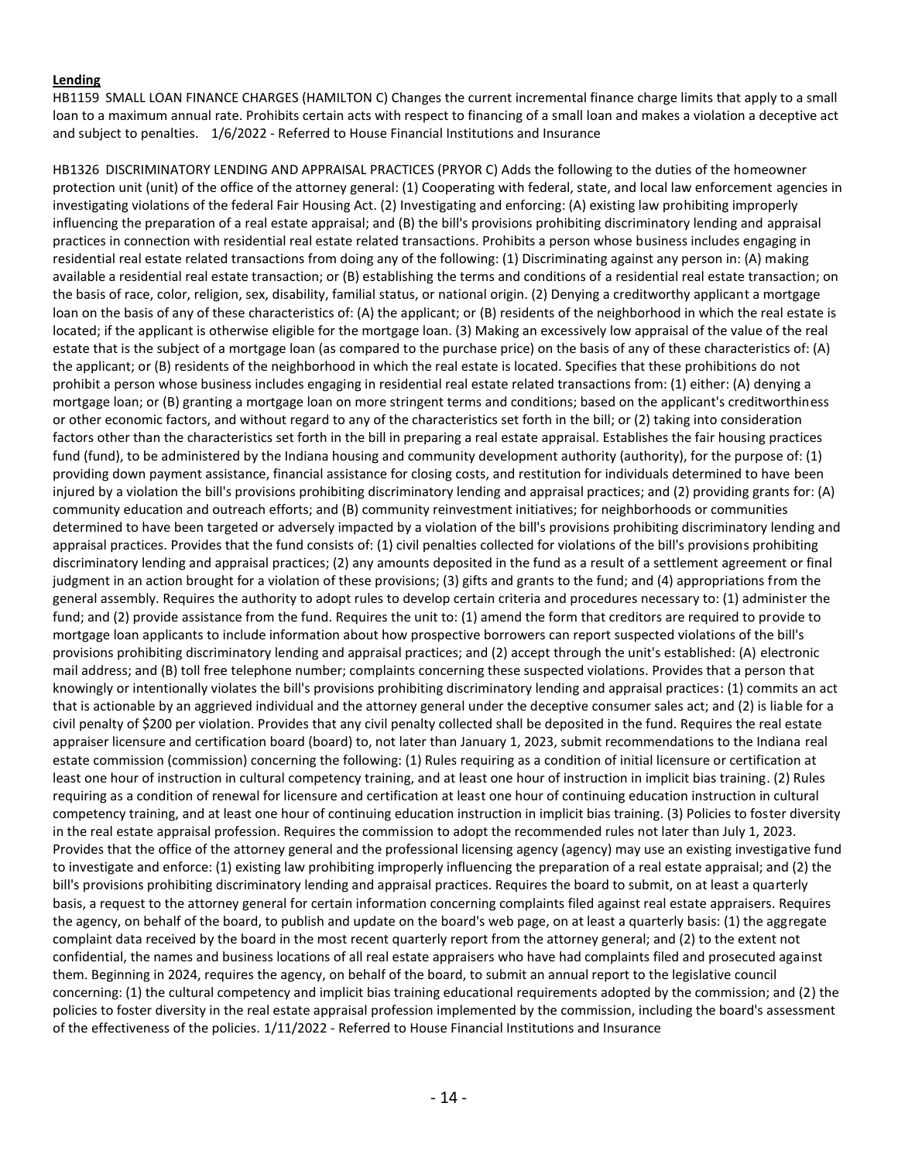### **Lending**

HB1159 SMALL LOAN FINANCE CHARGES (HAMILTON C) Changes the current incremental finance charge limits that apply to a small loan to a maximum annual rate. Prohibits certain acts with respect to financing of a small loan and makes a violation a deceptive act and subject to penalties. 1/6/2022 - Referred to House Financial Institutions and Insurance

HB1326 DISCRIMINATORY LENDING AND APPRAISAL PRACTICES (PRYOR C) Adds the following to the duties of the homeowner protection unit (unit) of the office of the attorney general: (1) Cooperating with federal, state, and local law enforcement agencies in investigating violations of the federal Fair Housing Act. (2) Investigating and enforcing: (A) existing law prohibiting improperly influencing the preparation of a real estate appraisal; and (B) the bill's provisions prohibiting discriminatory lending and appraisal practices in connection with residential real estate related transactions. Prohibits a person whose business includes engaging in residential real estate related transactions from doing any of the following: (1) Discriminating against any person in: (A) making available a residential real estate transaction; or (B) establishing the terms and conditions of a residential real estate transaction; on the basis of race, color, religion, sex, disability, familial status, or national origin. (2) Denying a creditworthy applicant a mortgage loan on the basis of any of these characteristics of: (A) the applicant; or (B) residents of the neighborhood in which the real estate is located; if the applicant is otherwise eligible for the mortgage loan. (3) Making an excessively low appraisal of the value of the real estate that is the subject of a mortgage loan (as compared to the purchase price) on the basis of any of these characteristics of: (A) the applicant; or (B) residents of the neighborhood in which the real estate is located. Specifies that these prohibitions do not prohibit a person whose business includes engaging in residential real estate related transactions from: (1) either: (A) denying a mortgage loan; or (B) granting a mortgage loan on more stringent terms and conditions; based on the applicant's creditworthiness or other economic factors, and without regard to any of the characteristics set forth in the bill; or (2) taking into consideration factors other than the characteristics set forth in the bill in preparing a real estate appraisal. Establishes the fair housing practices fund (fund), to be administered by the Indiana housing and community development authority (authority), for the purpose of: (1) providing down payment assistance, financial assistance for closing costs, and restitution for individuals determined to have been injured by a violation the bill's provisions prohibiting discriminatory lending and appraisal practices; and (2) providing grants for: (A) community education and outreach efforts; and (B) community reinvestment initiatives; for neighborhoods or communities determined to have been targeted or adversely impacted by a violation of the bill's provisions prohibiting discriminatory lending and appraisal practices. Provides that the fund consists of: (1) civil penalties collected for violations of the bill's provisions prohibiting discriminatory lending and appraisal practices; (2) any amounts deposited in the fund as a result of a settlement agreement or final judgment in an action brought for a violation of these provisions; (3) gifts and grants to the fund; and (4) appropriations from the general assembly. Requires the authority to adopt rules to develop certain criteria and procedures necessary to: (1) administer the fund; and (2) provide assistance from the fund. Requires the unit to: (1) amend the form that creditors are required to provide to mortgage loan applicants to include information about how prospective borrowers can report suspected violations of the bill's provisions prohibiting discriminatory lending and appraisal practices; and (2) accept through the unit's established: (A) electronic mail address; and (B) toll free telephone number; complaints concerning these suspected violations. Provides that a person that knowingly or intentionally violates the bill's provisions prohibiting discriminatory lending and appraisal practices: (1) commits an act that is actionable by an aggrieved individual and the attorney general under the deceptive consumer sales act; and (2) is liable for a civil penalty of \$200 per violation. Provides that any civil penalty collected shall be deposited in the fund. Requires the real estate appraiser licensure and certification board (board) to, not later than January 1, 2023, submit recommendations to the Indiana real estate commission (commission) concerning the following: (1) Rules requiring as a condition of initial licensure or certification at least one hour of instruction in cultural competency training, and at least one hour of instruction in implicit bias training. (2) Rules requiring as a condition of renewal for licensure and certification at least one hour of continuing education instruction in cultural competency training, and at least one hour of continuing education instruction in implicit bias training. (3) Policies to foster diversity in the real estate appraisal profession. Requires the commission to adopt the recommended rules not later than July 1, 2023. Provides that the office of the attorney general and the professional licensing agency (agency) may use an existing investigative fund to investigate and enforce: (1) existing law prohibiting improperly influencing the preparation of a real estate appraisal; and (2) the bill's provisions prohibiting discriminatory lending and appraisal practices. Requires the board to submit, on at least a quarterly basis, a request to the attorney general for certain information concerning complaints filed against real estate appraisers. Requires the agency, on behalf of the board, to publish and update on the board's web page, on at least a quarterly basis: (1) the aggregate complaint data received by the board in the most recent quarterly report from the attorney general; and (2) to the extent not confidential, the names and business locations of all real estate appraisers who have had complaints filed and prosecuted against them. Beginning in 2024, requires the agency, on behalf of the board, to submit an annual report to the legislative council concerning: (1) the cultural competency and implicit bias training educational requirements adopted by the commission; and (2) the policies to foster diversity in the real estate appraisal profession implemented by the commission, including the board's assessment of the effectiveness of the policies. 1/11/2022 - Referred to House Financial Institutions and Insurance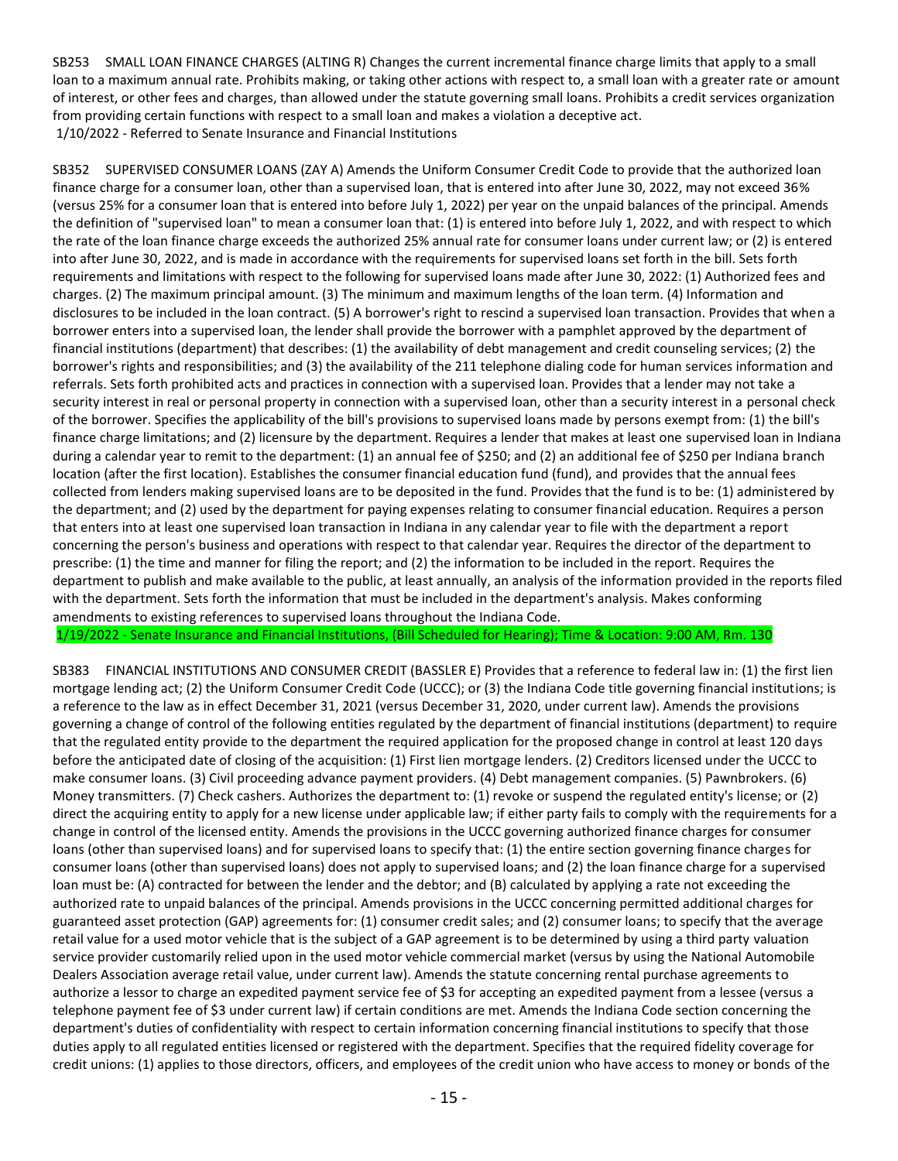SB253 SMALL LOAN FINANCE CHARGES (ALTING R) Changes the current incremental finance charge limits that apply to a small loan to a maximum annual rate. Prohibits making, or taking other actions with respect to, a small loan with a greater rate or amount of interest, or other fees and charges, than allowed under the statute governing small loans. Prohibits a credit services organization from providing certain functions with respect to a small loan and makes a violation a deceptive act. 1/10/2022 - Referred to Senate Insurance and Financial Institutions

SB352 SUPERVISED CONSUMER LOANS (ZAY A) Amends the Uniform Consumer Credit Code to provide that the authorized loan finance charge for a consumer loan, other than a supervised loan, that is entered into after June 30, 2022, may not exceed 36% (versus 25% for a consumer loan that is entered into before July 1, 2022) per year on the unpaid balances of the principal. Amends the definition of "supervised loan" to mean a consumer loan that: (1) is entered into before July 1, 2022, and with respect to which the rate of the loan finance charge exceeds the authorized 25% annual rate for consumer loans under current law; or (2) is entered into after June 30, 2022, and is made in accordance with the requirements for supervised loans set forth in the bill. Sets forth requirements and limitations with respect to the following for supervised loans made after June 30, 2022: (1) Authorized fees and charges. (2) The maximum principal amount. (3) The minimum and maximum lengths of the loan term. (4) Information and disclosures to be included in the loan contract. (5) A borrower's right to rescind a supervised loan transaction. Provides that when a borrower enters into a supervised loan, the lender shall provide the borrower with a pamphlet approved by the department of financial institutions (department) that describes: (1) the availability of debt management and credit counseling services; (2) the borrower's rights and responsibilities; and (3) the availability of the 211 telephone dialing code for human services information and referrals. Sets forth prohibited acts and practices in connection with a supervised loan. Provides that a lender may not take a security interest in real or personal property in connection with a supervised loan, other than a security interest in a personal check of the borrower. Specifies the applicability of the bill's provisions to supervised loans made by persons exempt from: (1) the bill's finance charge limitations; and (2) licensure by the department. Requires a lender that makes at least one supervised loan in Indiana during a calendar year to remit to the department: (1) an annual fee of \$250; and (2) an additional fee of \$250 per Indiana branch location (after the first location). Establishes the consumer financial education fund (fund), and provides that the annual fees collected from lenders making supervised loans are to be deposited in the fund. Provides that the fund is to be: (1) administered by the department; and (2) used by the department for paying expenses relating to consumer financial education. Requires a person that enters into at least one supervised loan transaction in Indiana in any calendar year to file with the department a report concerning the person's business and operations with respect to that calendar year. Requires the director of the department to prescribe: (1) the time and manner for filing the report; and (2) the information to be included in the report. Requires the department to publish and make available to the public, at least annually, an analysis of the information provided in the reports filed with the department. Sets forth the information that must be included in the department's analysis. Makes conforming amendments to existing references to supervised loans throughout the Indiana Code.

1/19/2022 - Senate Insurance and Financial Institutions, (Bill Scheduled for Hearing); Time & Location: 9:00 AM, Rm. 130

SB383 FINANCIAL INSTITUTIONS AND CONSUMER CREDIT (BASSLER E) Provides that a reference to federal law in: (1) the first lien mortgage lending act; (2) the Uniform Consumer Credit Code (UCCC); or (3) the Indiana Code title governing financial institutions; is a reference to the law as in effect December 31, 2021 (versus December 31, 2020, under current law). Amends the provisions governing a change of control of the following entities regulated by the department of financial institutions (department) to require that the regulated entity provide to the department the required application for the proposed change in control at least 120 days before the anticipated date of closing of the acquisition: (1) First lien mortgage lenders. (2) Creditors licensed under the UCCC to make consumer loans. (3) Civil proceeding advance payment providers. (4) Debt management companies. (5) Pawnbrokers. (6) Money transmitters. (7) Check cashers. Authorizes the department to: (1) revoke or suspend the regulated entity's license; or (2) direct the acquiring entity to apply for a new license under applicable law; if either party fails to comply with the requirements for a change in control of the licensed entity. Amends the provisions in the UCCC governing authorized finance charges for consumer loans (other than supervised loans) and for supervised loans to specify that: (1) the entire section governing finance charges for consumer loans (other than supervised loans) does not apply to supervised loans; and (2) the loan finance charge for a supervised loan must be: (A) contracted for between the lender and the debtor; and (B) calculated by applying a rate not exceeding the authorized rate to unpaid balances of the principal. Amends provisions in the UCCC concerning permitted additional charges for guaranteed asset protection (GAP) agreements for: (1) consumer credit sales; and (2) consumer loans; to specify that the average retail value for a used motor vehicle that is the subject of a GAP agreement is to be determined by using a third party valuation service provider customarily relied upon in the used motor vehicle commercial market (versus by using the National Automobile Dealers Association average retail value, under current law). Amends the statute concerning rental purchase agreements to authorize a lessor to charge an expedited payment service fee of \$3 for accepting an expedited payment from a lessee (versus a telephone payment fee of \$3 under current law) if certain conditions are met. Amends the Indiana Code section concerning the department's duties of confidentiality with respect to certain information concerning financial institutions to specify that those duties apply to all regulated entities licensed or registered with the department. Specifies that the required fidelity coverage for credit unions: (1) applies to those directors, officers, and employees of the credit union who have access to money or bonds of the